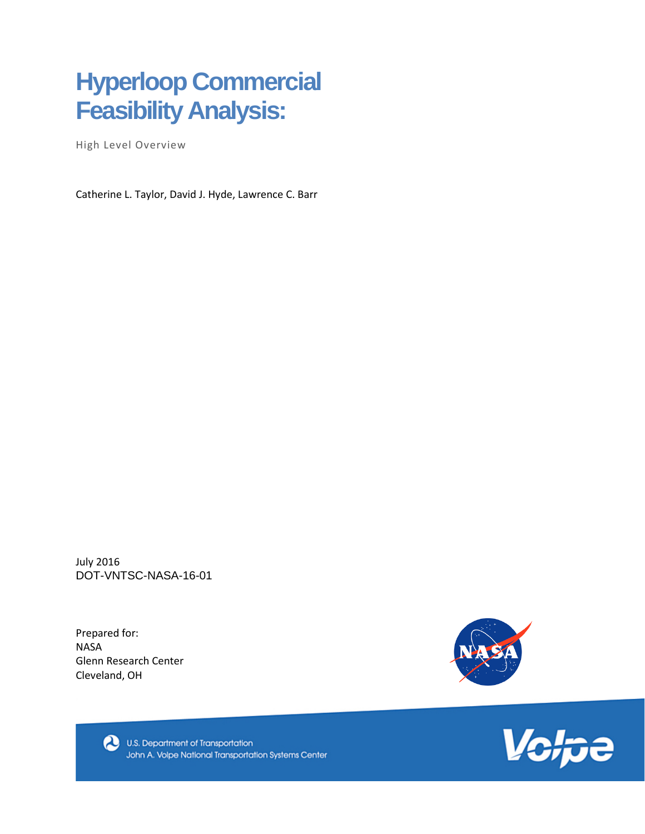# **Hyperloop Commercial Feasibility Analysis:**

High Level Overview

Catherine L. Taylor, David J. Hyde, Lawrence C. Barr

July 2016 DOT-VNTSC-NASA-16-01

Prepared for: NASA Glenn Research Center Cleveland, OH





U.S. Department of Transportation John A. Volpe National Transportation Systems Center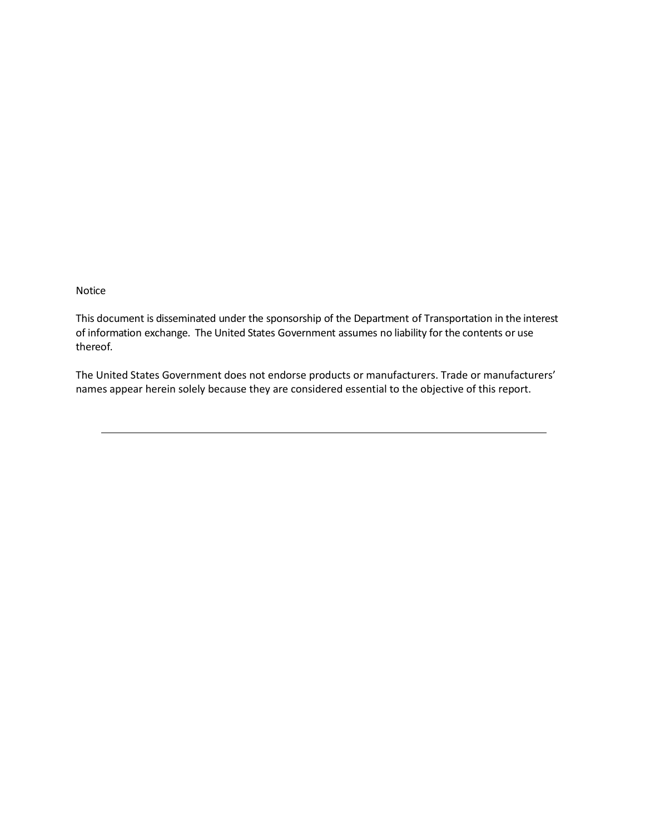Notice

This document is disseminated under the sponsorship of the Department of Transportation in the interest of information exchange. The United States Government assumes no liability for the contents or use thereof.

The United States Government does not endorse products or manufacturers. Trade or manufacturers' names appear herein solely because they are considered essential to the objective of this report.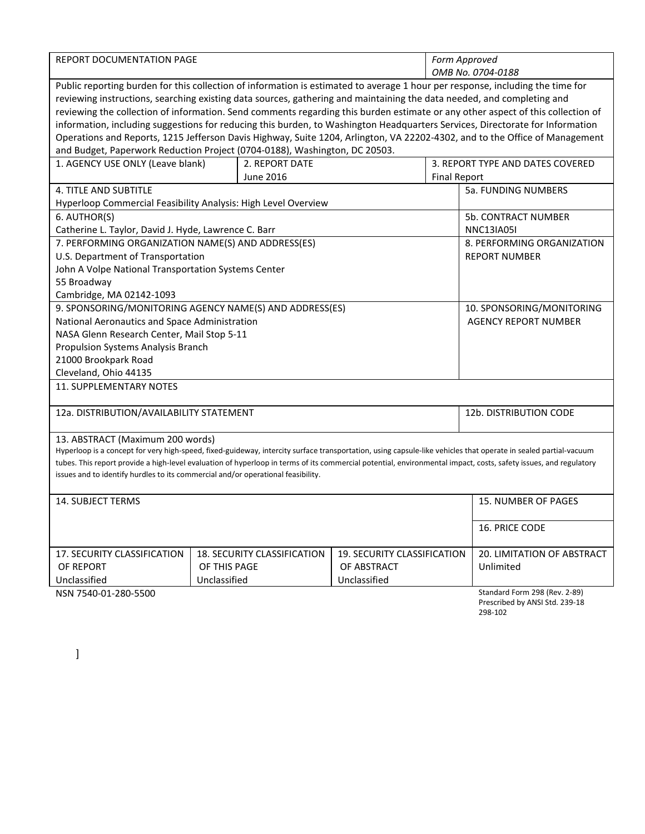| REPORT DOCUMENTATION PAGE                                                                                                                                        |                                                                                                                                                                                                           |                |                                   |                     | Form Approved<br>OMB No. 0704-0188                                         |  |
|------------------------------------------------------------------------------------------------------------------------------------------------------------------|-----------------------------------------------------------------------------------------------------------------------------------------------------------------------------------------------------------|----------------|-----------------------------------|---------------------|----------------------------------------------------------------------------|--|
| Public reporting burden for this collection of information is estimated to average 1 hour per response, including the time for                                   |                                                                                                                                                                                                           |                |                                   |                     |                                                                            |  |
| reviewing instructions, searching existing data sources, gathering and maintaining the data needed, and completing and                                           |                                                                                                                                                                                                           |                |                                   |                     |                                                                            |  |
| reviewing the collection of information. Send comments regarding this burden estimate or any other aspect of this collection of                                  |                                                                                                                                                                                                           |                |                                   |                     |                                                                            |  |
| information, including suggestions for reducing this burden, to Washington Headquarters Services, Directorate for Information                                    |                                                                                                                                                                                                           |                |                                   |                     |                                                                            |  |
|                                                                                                                                                                  |                                                                                                                                                                                                           |                |                                   |                     |                                                                            |  |
|                                                                                                                                                                  | Operations and Reports, 1215 Jefferson Davis Highway, Suite 1204, Arlington, VA 22202-4302, and to the Office of Management<br>and Budget, Paperwork Reduction Project (0704-0188), Washington, DC 20503. |                |                                   |                     |                                                                            |  |
| 1. AGENCY USE ONLY (Leave blank)                                                                                                                                 |                                                                                                                                                                                                           | 2. REPORT DATE |                                   |                     | 3. REPORT TYPE AND DATES COVERED                                           |  |
|                                                                                                                                                                  |                                                                                                                                                                                                           | June 2016      |                                   | <b>Final Report</b> |                                                                            |  |
| <b>4. TITLE AND SUBTITLE</b>                                                                                                                                     |                                                                                                                                                                                                           |                |                                   |                     | <b>5a. FUNDING NUMBERS</b>                                                 |  |
| Hyperloop Commercial Feasibility Analysis: High Level Overview                                                                                                   |                                                                                                                                                                                                           |                |                                   |                     |                                                                            |  |
| 6. AUTHOR(S)                                                                                                                                                     |                                                                                                                                                                                                           |                |                                   |                     | <b>5b. CONTRACT NUMBER</b>                                                 |  |
| Catherine L. Taylor, David J. Hyde, Lawrence C. Barr                                                                                                             |                                                                                                                                                                                                           |                |                                   |                     | <b>NNC13IA05I</b>                                                          |  |
| 7. PERFORMING ORGANIZATION NAME(S) AND ADDRESS(ES)                                                                                                               |                                                                                                                                                                                                           |                |                                   |                     | 8. PERFORMING ORGANIZATION                                                 |  |
| U.S. Department of Transportation                                                                                                                                |                                                                                                                                                                                                           |                |                                   |                     | <b>REPORT NUMBER</b>                                                       |  |
| John A Volpe National Transportation Systems Center                                                                                                              |                                                                                                                                                                                                           |                |                                   |                     |                                                                            |  |
| 55 Broadway                                                                                                                                                      |                                                                                                                                                                                                           |                |                                   |                     |                                                                            |  |
| Cambridge, MA 02142-1093                                                                                                                                         |                                                                                                                                                                                                           |                |                                   |                     |                                                                            |  |
| 9. SPONSORING/MONITORING AGENCY NAME(S) AND ADDRESS(ES)                                                                                                          |                                                                                                                                                                                                           |                |                                   |                     | 10. SPONSORING/MONITORING                                                  |  |
| National Aeronautics and Space Administration                                                                                                                    |                                                                                                                                                                                                           |                |                                   |                     | <b>AGENCY REPORT NUMBER</b>                                                |  |
| NASA Glenn Research Center, Mail Stop 5-11                                                                                                                       |                                                                                                                                                                                                           |                |                                   |                     |                                                                            |  |
| Propulsion Systems Analysis Branch                                                                                                                               |                                                                                                                                                                                                           |                |                                   |                     |                                                                            |  |
| 21000 Brookpark Road                                                                                                                                             |                                                                                                                                                                                                           |                |                                   |                     |                                                                            |  |
| Cleveland, Ohio 44135                                                                                                                                            |                                                                                                                                                                                                           |                |                                   |                     |                                                                            |  |
| <b>11. SUPPLEMENTARY NOTES</b>                                                                                                                                   |                                                                                                                                                                                                           |                |                                   |                     |                                                                            |  |
| 12a. DISTRIBUTION/AVAILABILITY STATEMENT                                                                                                                         |                                                                                                                                                                                                           |                |                                   |                     | 12b. DISTRIBUTION CODE                                                     |  |
|                                                                                                                                                                  |                                                                                                                                                                                                           |                |                                   |                     |                                                                            |  |
| 13. ABSTRACT (Maximum 200 words)                                                                                                                                 |                                                                                                                                                                                                           |                |                                   |                     |                                                                            |  |
| Hyperloop is a concept for very high-speed, fixed-guideway, intercity surface transportation, using capsule-like vehicles that operate in sealed partial-vacuum  |                                                                                                                                                                                                           |                |                                   |                     |                                                                            |  |
| tubes. This report provide a high-level evaluation of hyperloop in terms of its commercial potential, environmental impact, costs, safety issues, and regulatory |                                                                                                                                                                                                           |                |                                   |                     |                                                                            |  |
| issues and to identify hurdles to its commercial and/or operational feasibility.                                                                                 |                                                                                                                                                                                                           |                |                                   |                     |                                                                            |  |
| <b>14. SUBJECT TERMS</b>                                                                                                                                         |                                                                                                                                                                                                           |                |                                   |                     | 15. NUMBER OF PAGES                                                        |  |
|                                                                                                                                                                  |                                                                                                                                                                                                           |                |                                   |                     |                                                                            |  |
|                                                                                                                                                                  |                                                                                                                                                                                                           |                |                                   |                     | 16. PRICE CODE                                                             |  |
| 17. SECURITY CLASSIFICATION<br><b>18. SECURITY CLASSIFICATION</b><br>19. SECURITY CLASSIFICATION                                                                 |                                                                                                                                                                                                           |                | <b>20. LIMITATION OF ABSTRACT</b> |                     |                                                                            |  |
| OF THIS PAGE<br>OF ABSTRACT<br>OF REPORT                                                                                                                         |                                                                                                                                                                                                           |                | Unlimited                         |                     |                                                                            |  |
| Unclassified<br>Unclassified<br>Unclassified                                                                                                                     |                                                                                                                                                                                                           |                |                                   |                     |                                                                            |  |
| NSN 7540-01-280-5500                                                                                                                                             |                                                                                                                                                                                                           |                |                                   |                     | Standard Form 298 (Rev. 2-89)<br>Prescribed by ANSI Std. 239-18<br>298-102 |  |

298-102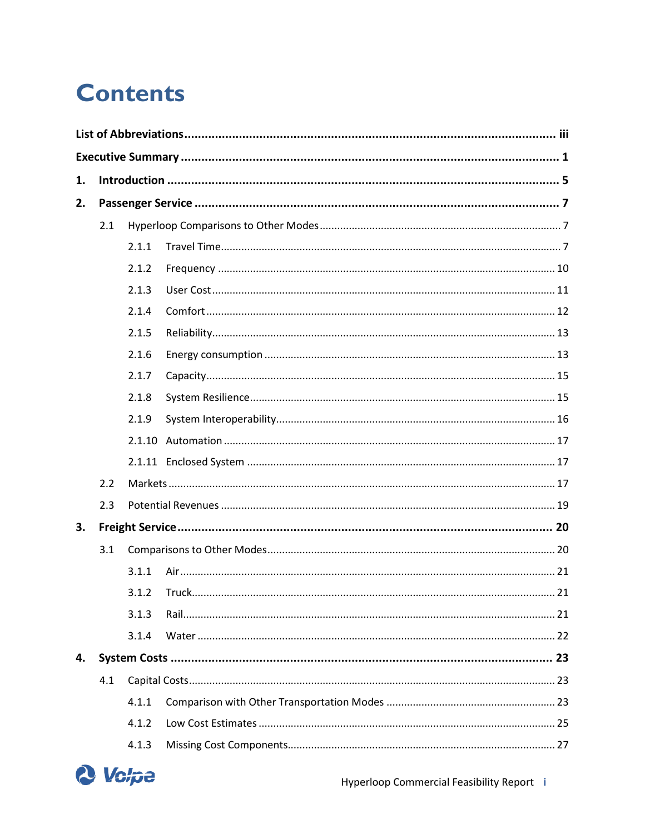# **Contents**

| 1. |     |        |  |
|----|-----|--------|--|
| 2. |     |        |  |
|    | 2.1 |        |  |
|    |     | 2.1.1  |  |
|    |     | 2.1.2  |  |
|    |     | 2.1.3  |  |
|    |     | 2.1.4  |  |
|    |     | 2.1.5  |  |
|    |     | 2.1.6  |  |
|    |     | 2.1.7  |  |
|    |     | 2.1.8  |  |
|    |     | 2.1.9  |  |
|    |     | 2.1.10 |  |
|    |     |        |  |
|    | 2.2 |        |  |
|    | 2.3 |        |  |
| 3. |     |        |  |
|    | 3.1 |        |  |
|    |     | 3.1.1  |  |
|    |     | 3.1.2  |  |
|    |     | 3.1.3  |  |
|    |     | 3.1.4  |  |
| 4. |     |        |  |
|    | 4.1 |        |  |
|    |     | 4.1.1  |  |
|    |     | 4.1.2  |  |
|    |     | 4.1.3  |  |

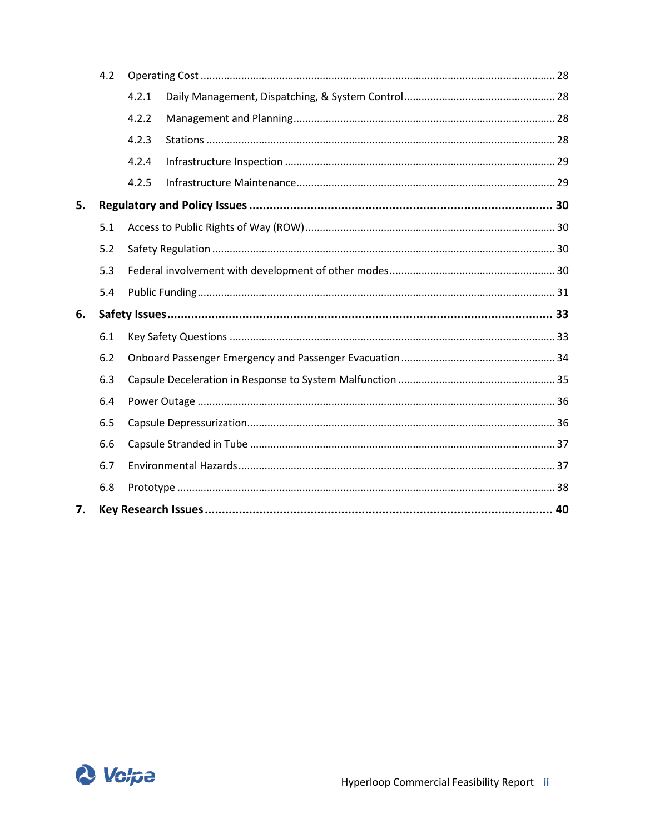|    | 4.2 |       |  |  |  |  |
|----|-----|-------|--|--|--|--|
|    |     | 4.2.1 |  |  |  |  |
|    |     | 4.2.2 |  |  |  |  |
|    |     | 4.2.3 |  |  |  |  |
|    |     | 4.2.4 |  |  |  |  |
|    |     | 4.2.5 |  |  |  |  |
| 5. |     |       |  |  |  |  |
|    | 5.1 |       |  |  |  |  |
|    | 5.2 |       |  |  |  |  |
|    | 5.3 |       |  |  |  |  |
|    | 5.4 |       |  |  |  |  |
| 6. |     |       |  |  |  |  |
|    | 6.1 |       |  |  |  |  |
|    | 6.2 |       |  |  |  |  |
|    | 6.3 |       |  |  |  |  |
|    | 6.4 |       |  |  |  |  |
|    | 6.5 |       |  |  |  |  |
|    | 6.6 |       |  |  |  |  |
|    | 6.7 |       |  |  |  |  |
|    | 6.8 |       |  |  |  |  |
| 7. |     |       |  |  |  |  |

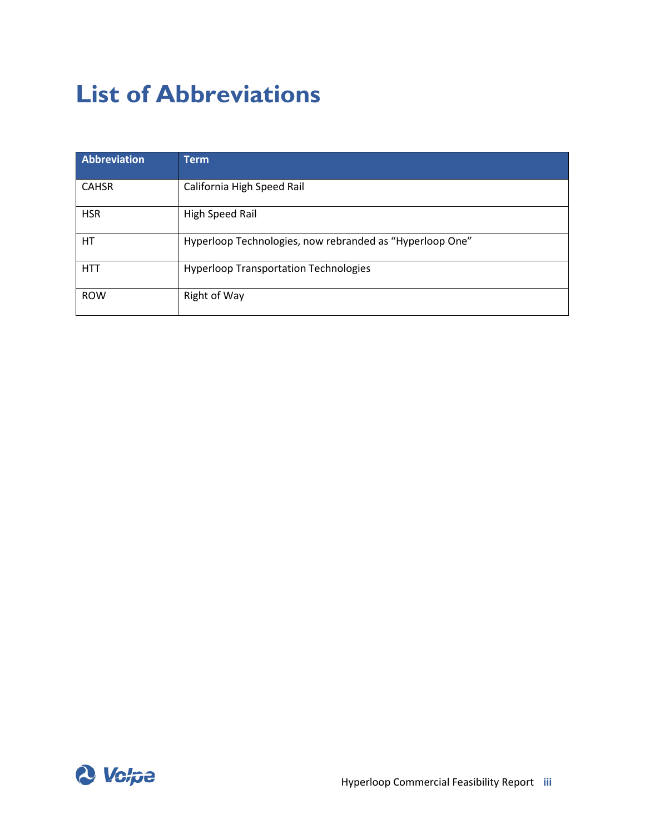# <span id="page-5-0"></span>**List of Abbreviations**

| <b>Abbreviation</b> | <b>Term</b>                                              |
|---------------------|----------------------------------------------------------|
| <b>CAHSR</b>        | California High Speed Rail                               |
| <b>HSR</b>          | High Speed Rail                                          |
| HT.                 | Hyperloop Technologies, now rebranded as "Hyperloop One" |
| <b>HTT</b>          | <b>Hyperloop Transportation Technologies</b>             |
| <b>ROW</b>          | <b>Right of Way</b>                                      |

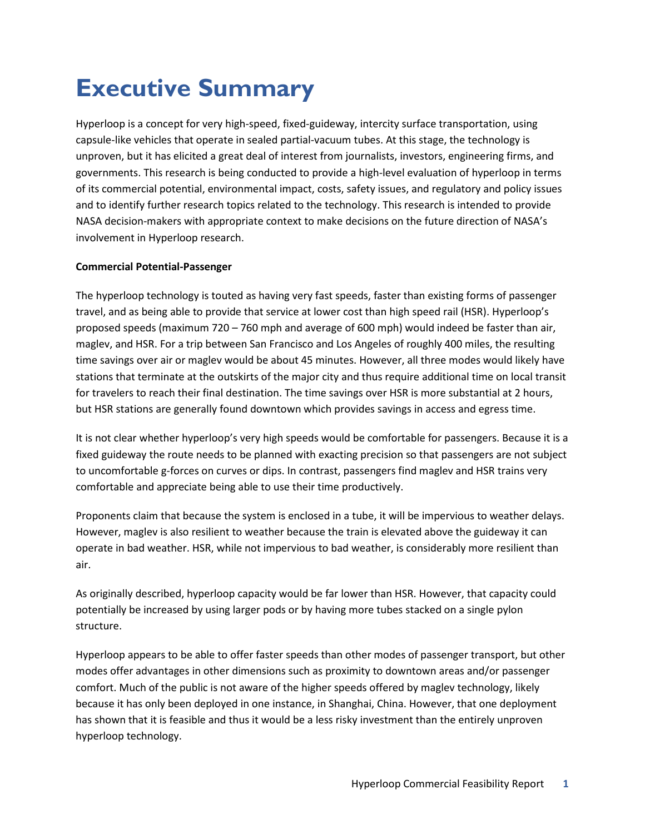# <span id="page-6-0"></span>**Executive Summary**

Hyperloop is a concept for very high-speed, fixed-guideway, intercity surface transportation, using capsule-like vehicles that operate in sealed partial-vacuum tubes. At this stage, the technology is unproven, but it has elicited a great deal of interest from journalists, investors, engineering firms, and governments. This research is being conducted to provide a high-level evaluation of hyperloop in terms of its commercial potential, environmental impact, costs, safety issues, and regulatory and policy issues and to identify further research topics related to the technology. This research is intended to provide NASA decision-makers with appropriate context to make decisions on the future direction of NASA's involvement in Hyperloop research.

#### **Commercial Potential-Passenger**

The hyperloop technology is touted as having very fast speeds, faster than existing forms of passenger travel, and as being able to provide that service at lower cost than high speed rail (HSR). Hyperloop's proposed speeds (maximum 720 – 760 mph and average of 600 mph) would indeed be faster than air, maglev, and HSR. For a trip between San Francisco and Los Angeles of roughly 400 miles, the resulting time savings over air or maglev would be about 45 minutes. However, all three modes would likely have stations that terminate at the outskirts of the major city and thus require additional time on local transit for travelers to reach their final destination. The time savings over HSR is more substantial at 2 hours, but HSR stations are generally found downtown which provides savings in access and egress time.

It is not clear whether hyperloop's very high speeds would be comfortable for passengers. Because it is a fixed guideway the route needs to be planned with exacting precision so that passengers are not subject to uncomfortable g-forces on curves or dips. In contrast, passengers find maglev and HSR trains very comfortable and appreciate being able to use their time productively.

Proponents claim that because the system is enclosed in a tube, it will be impervious to weather delays. However, maglev is also resilient to weather because the train is elevated above the guideway it can operate in bad weather. HSR, while not impervious to bad weather, is considerably more resilient than air.

As originally described, hyperloop capacity would be far lower than HSR. However, that capacity could potentially be increased by using larger pods or by having more tubes stacked on a single pylon structure.

Hyperloop appears to be able to offer faster speeds than other modes of passenger transport, but other modes offer advantages in other dimensions such as proximity to downtown areas and/or passenger comfort. Much of the public is not aware of the higher speeds offered by maglev technology, likely because it has only been deployed in one instance, in Shanghai, China. However, that one deployment has shown that it is feasible and thus it would be a less risky investment than the entirely unproven hyperloop technology.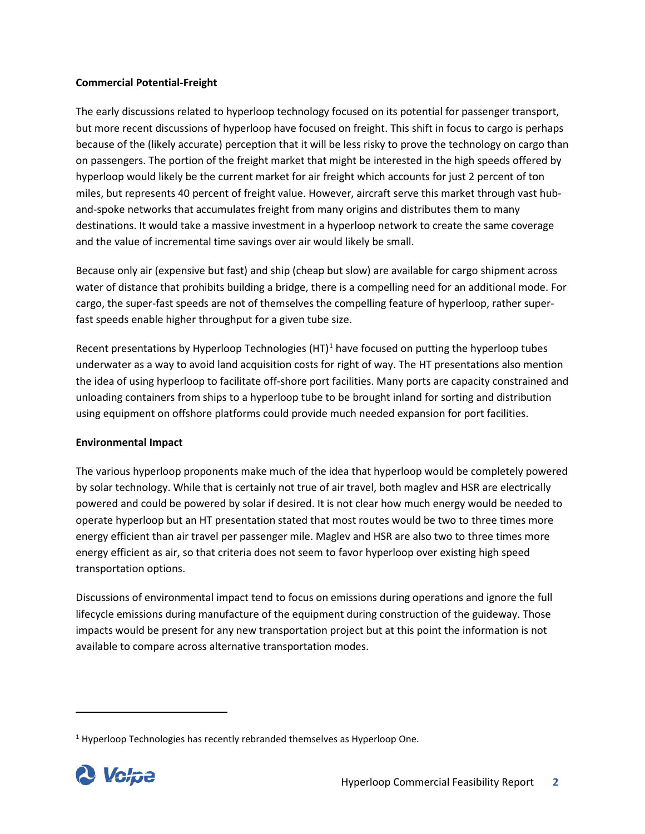#### **Commercial Potential-Freight**

The early discussions related to hyperloop technology focused on its potential for passenger transport, but more recent discussions of hyperloop have focused on freight. This shift in focus to cargo is perhaps because of the (likely accurate) perception that it will be less risky to prove the technology on cargo than on passengers. The portion of the freight market that might be interested in the high speeds offered by hyperloop would likely be the current market for air freight which accounts for just 2 percent of ton miles, but represents 40 percent of freight value. However, aircraft serve this market through vast huband-spoke networks that accumulates freight from many origins and distributes them to many destinations. It would take a massive investment in a hyperloop network to create the same coverage and the value of incremental time savings over air would likely be small.

Because only air (expensive but fast) and ship (cheap but slow) are available for cargo shipment across water of distance that prohibits building a bridge, there is a compelling need for an additional mode. For cargo, the super-fast speeds are not of themselves the compelling feature of hyperloop, rather superfast speeds enable higher throughput for a given tube size.

Recent presentations by Hyperloop Technologies  $(HT)^1$  $(HT)^1$  have focused on putting the hyperloop tubes underwater as a way to avoid land acquisition costs for right of way. The HT presentations also mention the idea of using hyperloop to facilitate off-shore port facilities. Many ports are capacity constrained and unloading containers from ships to a hyperloop tube to be brought inland for sorting and distribution using equipment on offshore platforms could provide much needed expansion for port facilities.

#### **Environmental Impact**

The various hyperloop proponents make much of the idea that hyperloop would be completely powered by solar technology. While that is certainly not true of air travel, both maglev and HSR are electrically powered and could be powered by solar if desired. It is not clear how much energy would be needed to operate hyperloop but an HT presentation stated that most routes would be two to three times more energy efficient than air travel per passenger mile. Maglev and HSR are also two to three times more energy efficient as air, so that criteria does not seem to favor hyperloop over existing high speed transportation options.

Discussions of environmental impact tend to focus on emissions during operations and ignore the full lifecycle emissions during manufacture of the equipment during construction of the guideway. Those impacts would be present for any new transportation project but at this point the information is not available to compare across alternative transportation modes.

<span id="page-7-0"></span> $1$  Hyperloop Technologies has recently rebranded themselves as Hyperloop One.

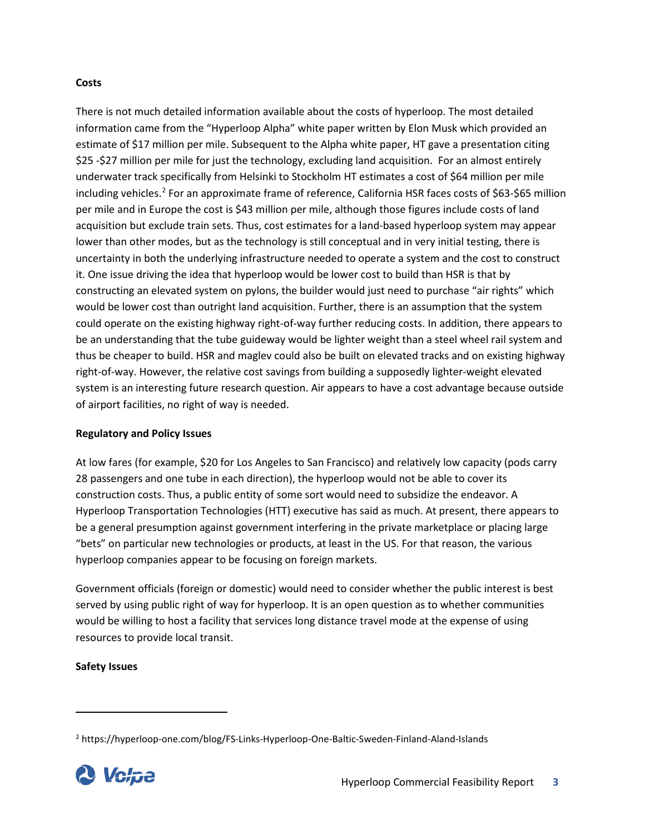#### **Costs**

There is not much detailed information available about the costs of hyperloop. The most detailed information came from the "Hyperloop Alpha" white paper written by Elon Musk which provided an estimate of \$17 million per mile. Subsequent to the Alpha white paper, HT gave a presentation citing \$25 -\$27 million per mile for just the technology, excluding land acquisition. For an almost entirely underwater track specifically from Helsinki to Stockholm HT estimates a cost of \$64 million per mile including vehicles.<sup>[2](#page-8-0)</sup> For an approximate frame of reference, California HSR faces costs of \$63-\$65 million per mile and in Europe the cost is \$43 million per mile, although those figures include costs of land acquisition but exclude train sets. Thus, cost estimates for a land-based hyperloop system may appear lower than other modes, but as the technology is still conceptual and in very initial testing, there is uncertainty in both the underlying infrastructure needed to operate a system and the cost to construct it. One issue driving the idea that hyperloop would be lower cost to build than HSR is that by constructing an elevated system on pylons, the builder would just need to purchase "air rights" which would be lower cost than outright land acquisition. Further, there is an assumption that the system could operate on the existing highway right-of-way further reducing costs. In addition, there appears to be an understanding that the tube guideway would be lighter weight than a steel wheel rail system and thus be cheaper to build. HSR and maglev could also be built on elevated tracks and on existing highway right-of-way. However, the relative cost savings from building a supposedly lighter-weight elevated system is an interesting future research question. Air appears to have a cost advantage because outside of airport facilities, no right of way is needed.

#### **Regulatory and Policy Issues**

At low fares (for example, \$20 for Los Angeles to San Francisco) and relatively low capacity (pods carry 28 passengers and one tube in each direction), the hyperloop would not be able to cover its construction costs. Thus, a public entity of some sort would need to subsidize the endeavor. A Hyperloop Transportation Technologies (HTT) executive has said as much. At present, there appears to be a general presumption against government interfering in the private marketplace or placing large "bets" on particular new technologies or products, at least in the US. For that reason, the various hyperloop companies appear to be focusing on foreign markets.

Government officials (foreign or domestic) would need to consider whether the public interest is best served by using public right of way for hyperloop. It is an open question as to whether communities would be willing to host a facility that services long distance travel mode at the expense of using resources to provide local transit.

#### **Safety Issues**

<span id="page-8-0"></span><sup>2</sup> https://hyperloop-one.com/blog/FS-Links-Hyperloop-One-Baltic-Sweden-Finland-Aland-Islands

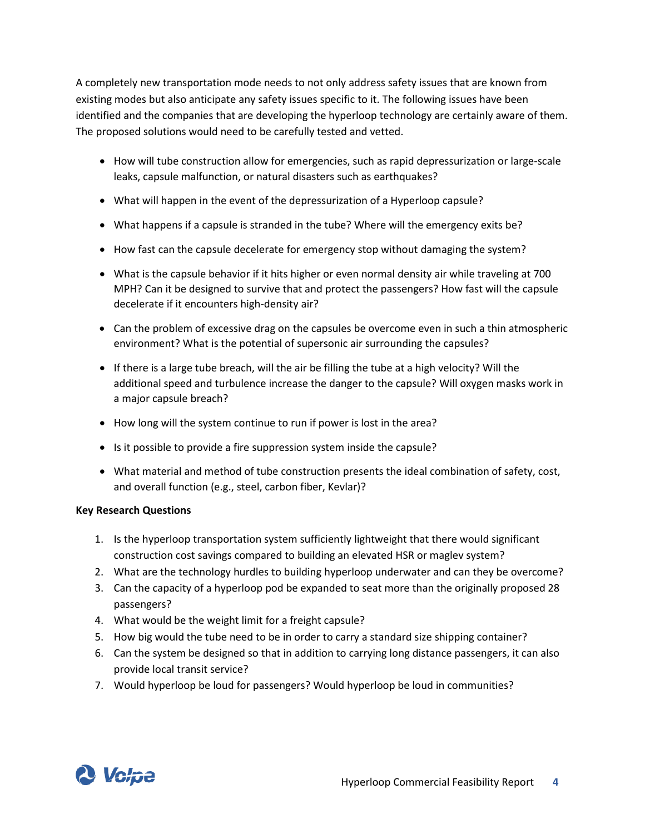A completely new transportation mode needs to not only address safety issues that are known from existing modes but also anticipate any safety issues specific to it. The following issues have been identified and the companies that are developing the hyperloop technology are certainly aware of them. The proposed solutions would need to be carefully tested and vetted.

- How will tube construction allow for emergencies, such as rapid depressurization or large-scale leaks, capsule malfunction, or natural disasters such as earthquakes?
- What will happen in the event of the depressurization of a Hyperloop capsule?
- What happens if a capsule is stranded in the tube? Where will the emergency exits be?
- How fast can the capsule decelerate for emergency stop without damaging the system?
- What is the capsule behavior if it hits higher or even normal density air while traveling at 700 MPH? Can it be designed to survive that and protect the passengers? How fast will the capsule decelerate if it encounters high-density air?
- Can the problem of excessive drag on the capsules be overcome even in such a thin atmospheric environment? What is the [potential of supersonic air surrounding the capsules?](http://www.cnet.com/news/simulation-verdict-elon-musks-hyperloop-needs-tweaking/)
- If there is a large tube breach, will the air be filling the tube at a high velocity? Will the additional speed and turbulence increase the danger to the capsule? Will oxygen masks work in a major capsule breach?
- How long will the system continue to run if power is lost in the area?
- Is it possible to provide a fire suppression system inside the capsule?
- What material and method of tube construction presents the ideal combination of safety, cost, and overall function (e.g., steel, carbon fiber, Kevlar)?

#### **Key Research Questions**

- 1. Is the hyperloop transportation system sufficiently lightweight that there would significant construction cost savings compared to building an elevated HSR or maglev system?
- 2. What are the technology hurdles to building hyperloop underwater and can they be overcome?
- 3. Can the capacity of a hyperloop pod be expanded to seat more than the originally proposed 28 passengers?
- 4. What would be the weight limit for a freight capsule?
- 5. How big would the tube need to be in order to carry a standard size shipping container?
- 6. Can the system be designed so that in addition to carrying long distance passengers, it can also provide local transit service?
- 7. Would hyperloop be loud for passengers? Would hyperloop be loud in communities?

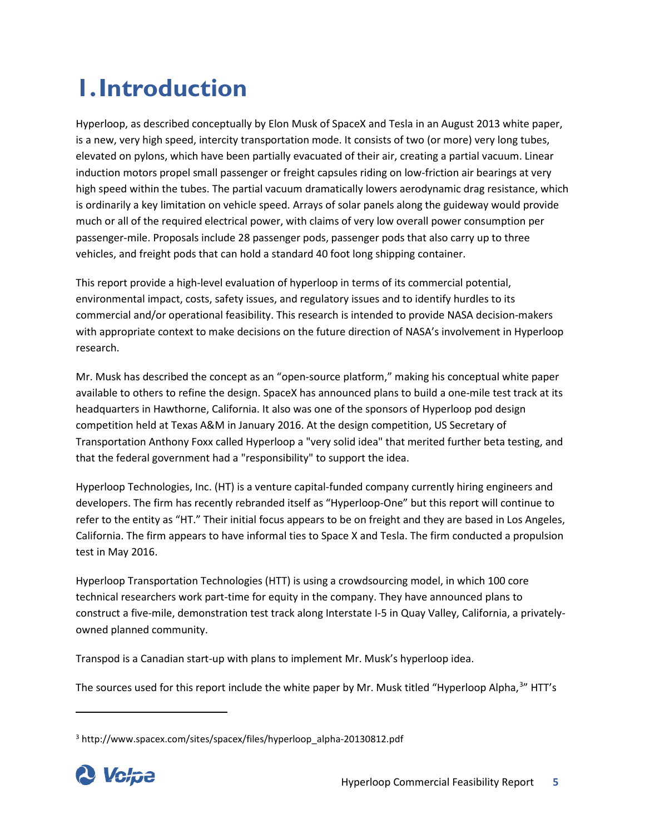# <span id="page-10-0"></span>**1.Introduction**

Hyperloop, as described conceptually by Elon Musk of SpaceX and Tesla in an August 2013 white paper, is a new, very high speed, intercity transportation mode. It consists of two (or more) very long tubes, elevated on pylons, which have been partially evacuated of their air, creating a partial vacuum. Linear induction motors propel small passenger or freight capsules riding on low-friction air bearings at very high speed within the tubes. The partial vacuum dramatically lowers aerodynamic drag resistance, which is ordinarily a key limitation on vehicle speed. Arrays of solar panels along the guideway would provide much or all of the required electrical power, with claims of very low overall power consumption per passenger-mile. Proposals include 28 passenger pods, passenger pods that also carry up to three vehicles, and freight pods that can hold a standard 40 foot long shipping container.

This report provide a high-level evaluation of hyperloop in terms of its commercial potential, environmental impact, costs, safety issues, and regulatory issues and to identify hurdles to its commercial and/or operational feasibility. This research is intended to provide NASA decision-makers with appropriate context to make decisions on the future direction of NASA's involvement in Hyperloop research.

Mr. Musk has described the concept as an "open-source platform," making his conceptual white paper available to others to refine the design. SpaceX has announced plans to build a one-mile test track at its headquarters in Hawthorne, California. It also was one of the sponsors of Hyperloop pod design competition held at Texas A&M in January 2016. At the design competition, US Secretary of Transportation Anthony Foxx called Hyperloop a "very solid idea" that merited further beta testing, and that the federal government had a "responsibility" to support the idea.

Hyperloop Technologies, Inc. (HT) is a venture capital-funded company currently hiring engineers and developers. The firm has recently rebranded itself as "Hyperloop-One" but this report will continue to refer to the entity as "HT." Their initial focus appears to be on freight and they are based in Los Angeles, California. The firm appears to have informal ties to Space X and Tesla. The firm conducted a propulsion test in May 2016.

Hyperloop Transportation Technologies (HTT) is using a crowdsourcing model, in which 100 core technical researchers work part-time for equity in the company. They have announced plans to construct a five-mile, demonstration test track along Interstate I-5 in Quay Valley, California, a privatelyowned planned community.

Transpod is a Canadian start-up with plans to implement Mr. Musk's hyperloop idea.

The sources used for this report include the white paper by Mr. Musk titled "Hyperloop Alpha,<sup>[3](#page-10-1)</sup>" HTT's

<span id="page-10-1"></span><sup>3</sup> http://www.spacex.com/sites/spacex/files/hyperloop\_alpha-20130812.pdf

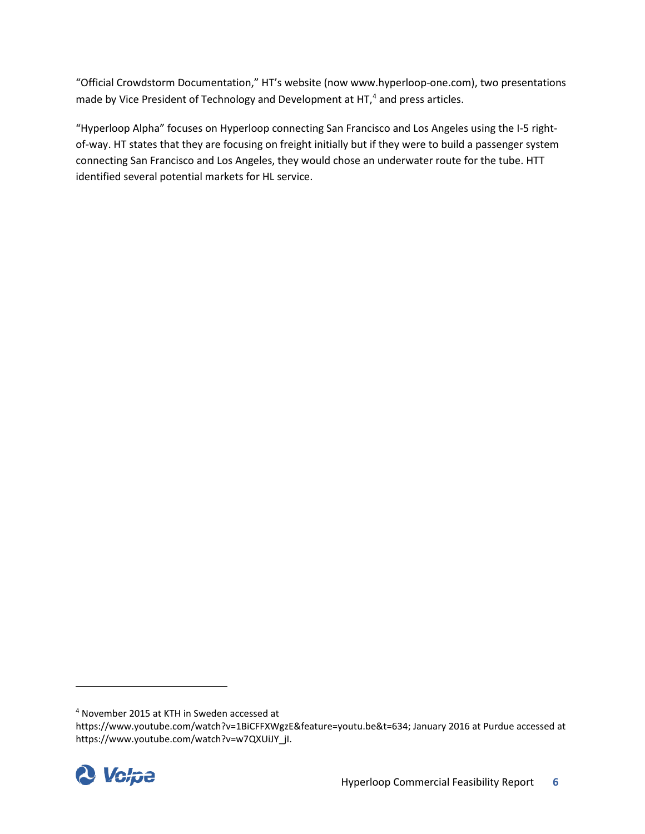"Official Crowdstorm Documentation," HT's website (now www.hyperloop-one.com), two presentations made by Vice President of Technology and Development at HT,<sup>[4](#page-11-0)</sup> and press articles.

"Hyperloop Alpha" focuses on Hyperloop connecting San Francisco and Los Angeles using the I-5 rightof-way. HT states that they are focusing on freight initially but if they were to build a passenger system connecting San Francisco and Los Angeles, they would chose an underwater route for the tube. HTT identified several potential markets for HL service.

<span id="page-11-0"></span>https://www.youtube.com/watch?v=1BiCFFXWgzE&feature=youtu.be&t=634; January 2016 at Purdue accessed at https://www.youtube.com/watch?v=w7QXUiJY\_jI.



 $\overline{\phantom{a}}$ 

<sup>4</sup> November 2015 at KTH in Sweden accessed at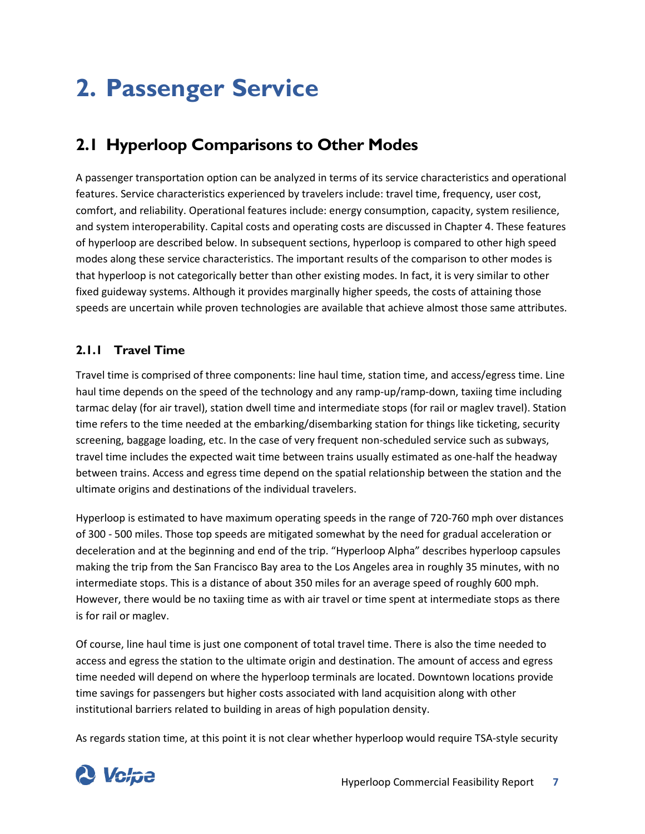# <span id="page-12-0"></span>**2. Passenger Service**

## <span id="page-12-1"></span>**2.1 Hyperloop Comparisons to Other Modes**

A passenger transportation option can be analyzed in terms of its service characteristics and operational features. Service characteristics experienced by travelers include: travel time, frequency, user cost, comfort, and reliability. Operational features include: energy consumption, capacity, system resilience, and system interoperability. Capital costs and operating costs are discussed in Chapter 4. These features of hyperloop are described below. In subsequent sections, hyperloop is compared to other high speed modes along these service characteristics. The important results of the comparison to other modes is that hyperloop is not categorically better than other existing modes. In fact, it is very similar to other fixed guideway systems. Although it provides marginally higher speeds, the costs of attaining those speeds are uncertain while proven technologies are available that achieve almost those same attributes.

## <span id="page-12-2"></span>**2.1.1 Travel Time**

Travel time is comprised of three components: line haul time, station time, and access/egress time. Line haul time depends on the speed of the technology and any ramp-up/ramp-down, taxiing time including tarmac delay (for air travel), station dwell time and intermediate stops (for rail or maglev travel). Station time refers to the time needed at the embarking/disembarking station for things like ticketing, security screening, baggage loading, etc. In the case of very frequent non-scheduled service such as subways, travel time includes the expected wait time between trains usually estimated as one-half the headway between trains. Access and egress time depend on the spatial relationship between the station and the ultimate origins and destinations of the individual travelers.

Hyperloop is estimated to have maximum operating speeds in the range of 720-760 mph over distances of 300 - 500 miles. Those top speeds are mitigated somewhat by the need for gradual acceleration or deceleration and at the beginning and end of the trip. "Hyperloop Alpha" describes hyperloop capsules making the trip from the San Francisco Bay area to the Los Angeles area in roughly 35 minutes, with no intermediate stops. This is a distance of about 350 miles for an average speed of roughly 600 mph. However, there would be no taxiing time as with air travel or time spent at intermediate stops as there is for rail or maglev.

Of course, line haul time is just one component of total travel time. There is also the time needed to access and egress the station to the ultimate origin and destination. The amount of access and egress time needed will depend on where the hyperloop terminals are located. Downtown locations provide time savings for passengers but higher costs associated with land acquisition along with other institutional barriers related to building in areas of high population density.

As regards station time, at this point it is not clear whether hyperloop would require TSA-style security

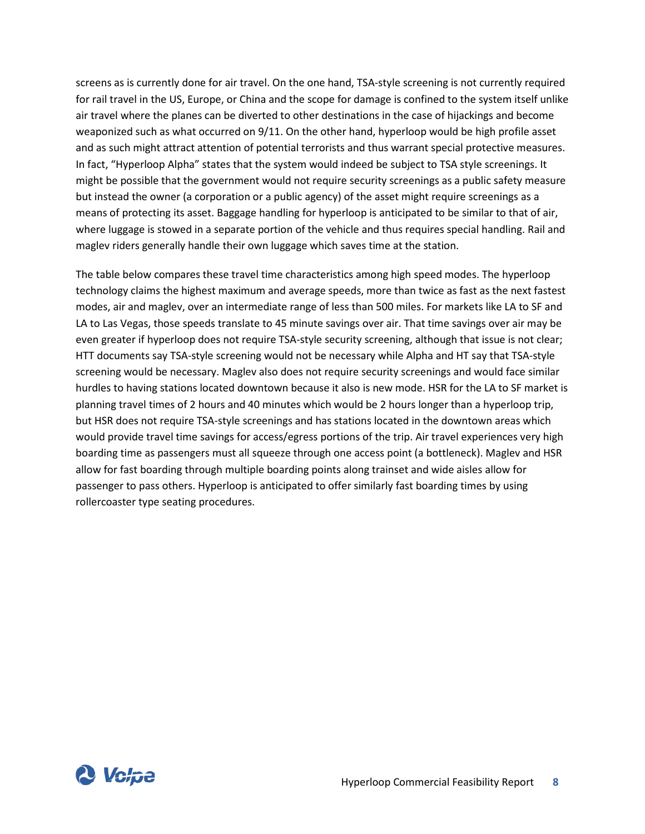screens as is currently done for air travel. On the one hand, TSA-style screening is not currently required for rail travel in the US, Europe, or China and the scope for damage is confined to the system itself unlike air travel where the planes can be diverted to other destinations in the case of hijackings and become weaponized such as what occurred on 9/11. On the other hand, hyperloop would be high profile asset and as such might attract attention of potential terrorists and thus warrant special protective measures. In fact, "Hyperloop Alpha" states that the system would indeed be subject to TSA style screenings. It might be possible that the government would not require security screenings as a public safety measure but instead the owner (a corporation or a public agency) of the asset might require screenings as a means of protecting its asset. Baggage handling for hyperloop is anticipated to be similar to that of air, where luggage is stowed in a separate portion of the vehicle and thus requires special handling. Rail and maglev riders generally handle their own luggage which saves time at the station.

The table below compares these travel time characteristics among high speed modes. The hyperloop technology claims the highest maximum and average speeds, more than twice as fast as the next fastest modes, air and maglev, over an intermediate range of less than 500 miles. For markets like LA to SF and LA to Las Vegas, those speeds translate to 45 minute savings over air. That time savings over air may be even greater if hyperloop does not require TSA-style security screening, although that issue is not clear; HTT documents say TSA-style screening would not be necessary while Alpha and HT say that TSA-style screening would be necessary. Maglev also does not require security screenings and would face similar hurdles to having stations located downtown because it also is new mode. HSR for the LA to SF market is planning travel times of 2 hours and 40 minutes which would be 2 hours longer than a hyperloop trip, but HSR does not require TSA-style screenings and has stations located in the downtown areas which would provide travel time savings for access/egress portions of the trip. Air travel experiences very high boarding time as passengers must all squeeze through one access point (a bottleneck). Maglev and HSR allow for fast boarding through multiple boarding points along trainset and wide aisles allow for passenger to pass others. Hyperloop is anticipated to offer similarly fast boarding times by using rollercoaster type seating procedures.

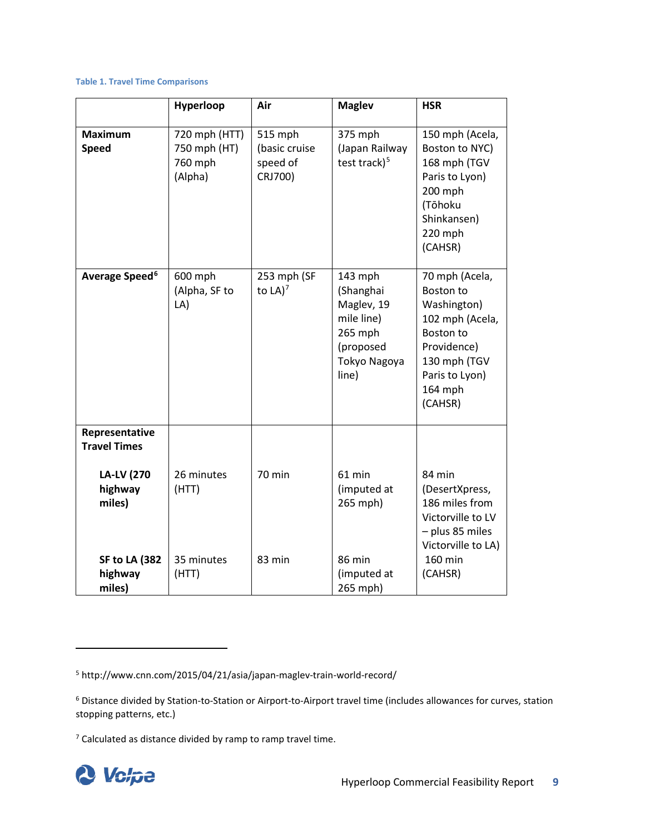#### **Table 1. Travel Time Comparisons**

|                                                                                 | Hyperloop                                           | Air                                             | <b>Maglev</b>                                                                                     | <b>HSR</b>                                                                                                                                               |
|---------------------------------------------------------------------------------|-----------------------------------------------------|-------------------------------------------------|---------------------------------------------------------------------------------------------------|----------------------------------------------------------------------------------------------------------------------------------------------------------|
| <b>Maximum</b><br><b>Speed</b>                                                  | 720 mph (HTT)<br>750 mph (HT)<br>760 mph<br>(Alpha) | 515 mph<br>(basic cruise<br>speed of<br>CRJ700) | 375 mph<br>(Japan Railway<br>test track) <sup>5</sup>                                             | 150 mph (Acela,<br>Boston to NYC)<br>168 mph (TGV<br>Paris to Lyon)<br>200 mph<br>(Tōhoku<br>Shinkansen)<br>220 mph<br>(CAHSR)                           |
| Average Speed <sup>6</sup>                                                      | 600 mph<br>(Alpha, SF to<br>LA)                     | 253 mph (SF<br>to $LA)^7$                       | 143 mph<br>(Shanghai<br>Maglev, 19<br>mile line)<br>265 mph<br>(proposed<br>Tokyo Nagoya<br>line) | 70 mph (Acela,<br>Boston to<br>Washington)<br>102 mph (Acela,<br><b>Boston to</b><br>Providence)<br>130 mph (TGV<br>Paris to Lyon)<br>164 mph<br>(CAHSR) |
| Representative<br><b>Travel Times</b><br><b>LA-LV (270</b><br>highway<br>miles) | 26 minutes<br>(HTT)                                 | <b>70 min</b>                                   | 61 min<br>(imputed at<br>265 mph)                                                                 | 84 min<br>(DesertXpress,<br>186 miles from<br>Victorville to LV<br>- plus 85 miles<br>Victorville to LA)                                                 |
| <b>SF to LA (382)</b><br>highway<br>miles)                                      | 35 minutes<br>(HTT)                                 | 83 min                                          | 86 min<br>(imputed at<br>265 mph)                                                                 | 160 min<br>(CAHSR)                                                                                                                                       |

<span id="page-14-2"></span> $7$  Calculated as distance divided by ramp to ramp travel time.



<span id="page-14-0"></span><sup>5</sup> http://www.cnn.com/2015/04/21/asia/japan-maglev-train-world-record/

<span id="page-14-1"></span><sup>6</sup> Distance divided by Station-to-Station or Airport-to-Airport travel time (includes allowances for curves, station stopping patterns, etc.)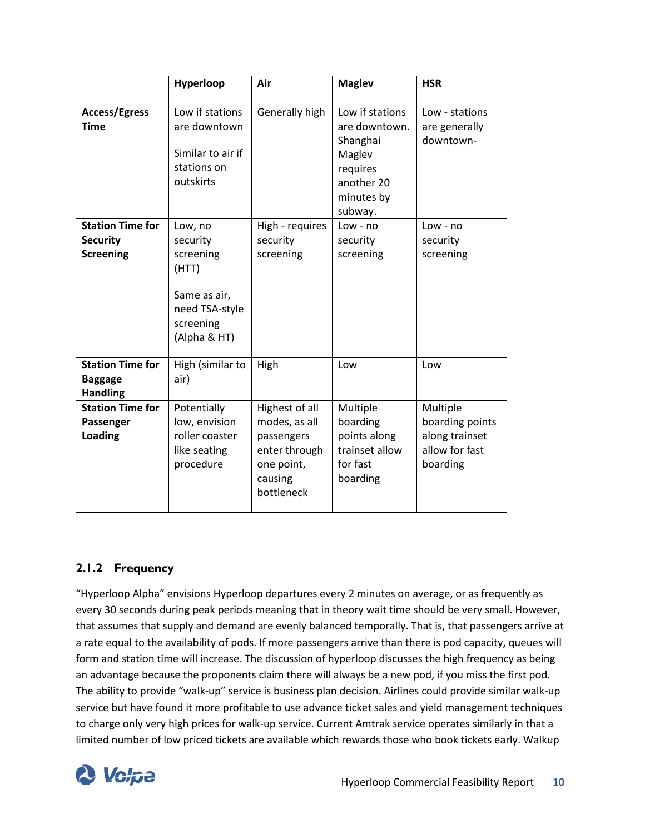|                                                                | Hyperloop                                                                                                | Air                                                                                                   | <b>Maglev</b>                                                                                             | <b>HSR</b>                                                                  |
|----------------------------------------------------------------|----------------------------------------------------------------------------------------------------------|-------------------------------------------------------------------------------------------------------|-----------------------------------------------------------------------------------------------------------|-----------------------------------------------------------------------------|
| <b>Access/Egress</b><br><b>Time</b>                            | Low if stations<br>are downtown<br>Similar to air if<br>stations on<br>outskirts                         | Generally high                                                                                        | Low if stations<br>are downtown.<br>Shanghai<br>Maglev<br>requires<br>another 20<br>minutes by<br>subway. | Low - stations<br>are generally<br>downtown-                                |
| <b>Station Time for</b><br><b>Security</b><br><b>Screening</b> | Low, no<br>security<br>screening<br>(HTT)<br>Same as air,<br>need TSA-style<br>screening<br>(Alpha & HT) | High - requires<br>security<br>screening                                                              | $Low - no$<br>security<br>screening                                                                       | $Low - no$<br>security<br>screening                                         |
| <b>Station Time for</b><br><b>Baggage</b><br><b>Handling</b>   | High (similar to<br>air)                                                                                 | High                                                                                                  | Low                                                                                                       | Low                                                                         |
| <b>Station Time for</b><br>Passenger<br>Loading                | Potentially<br>low, envision<br>roller coaster<br>like seating<br>procedure                              | Highest of all<br>modes, as all<br>passengers<br>enter through<br>one point,<br>causing<br>bottleneck | Multiple<br>boarding<br>points along<br>trainset allow<br>for fast<br>boarding                            | Multiple<br>boarding points<br>along trainset<br>allow for fast<br>boarding |

### <span id="page-15-0"></span>**2.1.2 Frequency**

"Hyperloop Alpha" envisions Hyperloop departures every 2 minutes on average, or as frequently as every 30 seconds during peak periods meaning that in theory wait time should be very small. However, that assumes that supply and demand are evenly balanced temporally. That is, that passengers arrive at a rate equal to the availability of pods. If more passengers arrive than there is pod capacity, queues will form and station time will increase. The discussion of hyperloop discusses the high frequency as being an advantage because the proponents claim there will always be a new pod, if you miss the first pod. The ability to provide "walk-up" service is business plan decision. Airlines could provide similar walk-up service but have found it more profitable to use advance ticket sales and yield management techniques to charge only very high prices for walk-up service. Current Amtrak service operates similarly in that a limited number of low priced tickets are available which rewards those who book tickets early. Walkup

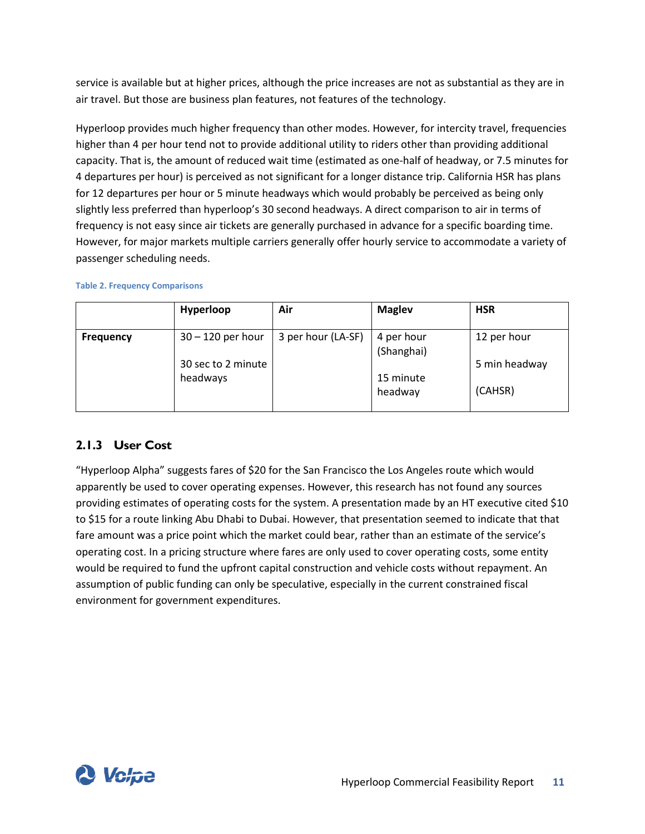service is available but at higher prices, although the price increases are not as substantial as they are in air travel. But those are business plan features, not features of the technology.

Hyperloop provides much higher frequency than other modes. However, for intercity travel, frequencies higher than 4 per hour tend not to provide additional utility to riders other than providing additional capacity. That is, the amount of reduced wait time (estimated as one-half of headway, or 7.5 minutes for 4 departures per hour) is perceived as not significant for a longer distance trip. California HSR has plans for 12 departures per hour or 5 minute headways which would probably be perceived as being only slightly less preferred than hyperloop's 30 second headways. A direct comparison to air in terms of frequency is not easy since air tickets are generally purchased in advance for a specific boarding time. However, for major markets multiple carriers generally offer hourly service to accommodate a variety of passenger scheduling needs.

#### **Table 2. Frequency Comparisons**

|                  | Hyperloop                      | Air                | <b>Maglev</b>            | <b>HSR</b>    |
|------------------|--------------------------------|--------------------|--------------------------|---------------|
| <b>Frequency</b> | $30 - 120$ per hour            | 3 per hour (LA-SF) | 4 per hour<br>(Shanghai) | 12 per hour   |
|                  | 30 sec to 2 minute<br>headways |                    | 15 minute                | 5 min headway |
|                  |                                |                    | headway                  | (CAHSR)       |

### <span id="page-16-0"></span>**2.1.3 User Cost**

"Hyperloop Alpha" suggests fares of \$20 for the San Francisco the Los Angeles route which would apparently be used to cover operating expenses. However, this research has not found any sources providing estimates of operating costs for the system. A presentation made by an HT executive cited \$10 to \$15 for a route linking Abu Dhabi to Dubai. However, that presentation seemed to indicate that that fare amount was a price point which the market could bear, rather than an estimate of the service's operating cost. In a pricing structure where fares are only used to cover operating costs, some entity would be required to fund the upfront capital construction and vehicle costs without repayment. An assumption of public funding can only be speculative, especially in the current constrained fiscal environment for government expenditures.

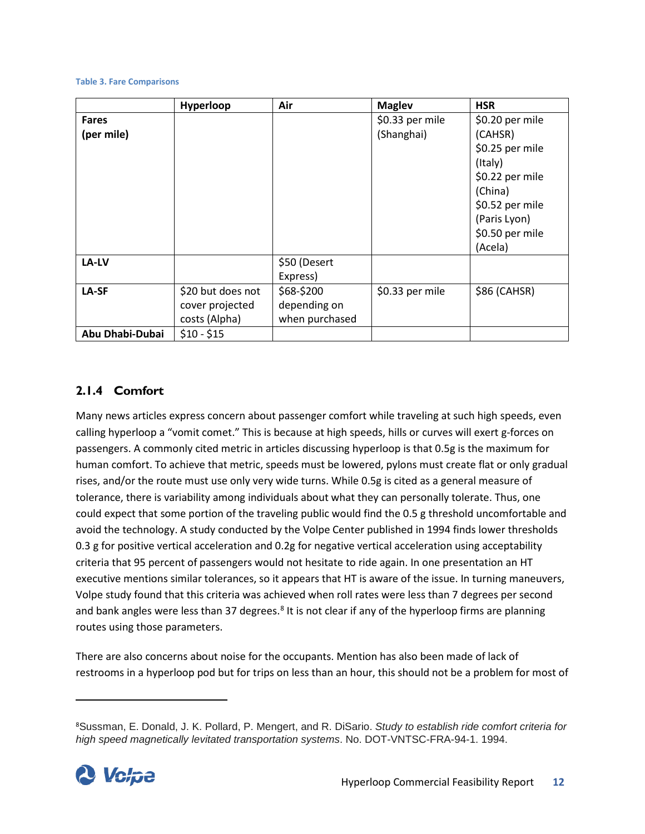#### **Table 3. Fare Comparisons**

|                 | Hyperloop         | Air            | <b>Maglev</b>   | <b>HSR</b>      |
|-----------------|-------------------|----------------|-----------------|-----------------|
| <b>Fares</b>    |                   |                | \$0.33 per mile | \$0.20 per mile |
| (per mile)      |                   |                | (Shanghai)      | (CAHSR)         |
|                 |                   |                |                 | \$0.25 per mile |
|                 |                   |                |                 | (Italy)         |
|                 |                   |                |                 | \$0.22 per mile |
|                 |                   |                |                 | (China)         |
|                 |                   |                |                 | \$0.52 per mile |
|                 |                   |                |                 | (Paris Lyon)    |
|                 |                   |                |                 | \$0.50 per mile |
|                 |                   |                |                 | (Acela)         |
| LA-LV           |                   | \$50 (Desert   |                 |                 |
|                 |                   | Express)       |                 |                 |
| LA-SF           | \$20 but does not | \$68-\$200     | \$0.33 per mile | $$86$ (CAHSR)   |
|                 | cover projected   | depending on   |                 |                 |
|                 | costs (Alpha)     | when purchased |                 |                 |
| Abu Dhabi-Dubai | $$10 - $15$       |                |                 |                 |

### <span id="page-17-0"></span>**2.1.4 Comfort**

Many news articles express concern about passenger comfort while traveling at such high speeds, even calling hyperloop a "vomit comet." This is because at high speeds, hills or curves will exert g-forces on passengers. A commonly cited metric in articles discussing hyperloop is that 0.5g is the maximum for human comfort. To achieve that metric, speeds must be lowered, pylons must create flat or only gradual rises, and/or the route must use only very wide turns. While 0.5g is cited as a general measure of tolerance, there is variability among individuals about what they can personally tolerate. Thus, one could expect that some portion of the traveling public would find the 0.5 g threshold uncomfortable and avoid the technology. A study conducted by the Volpe Center published in 1994 finds lower thresholds 0.3 g for positive vertical acceleration and 0.2g for negative vertical acceleration using acceptability criteria that 95 percent of passengers would not hesitate to ride again. In one presentation an HT executive mentions similar tolerances, so it appears that HT is aware of the issue. In turning maneuvers, Volpe study found that this criteria was achieved when roll rates were less than 7 degrees per second and bank angles were less than 37 degrees.<sup>[8](#page-17-1)</sup> It is not clear if any of the hyperloop firms are planning routes using those parameters.

There are also concerns about noise for the occupants. Mention has also been made of lack of restrooms in a hyperloop pod but for trips on less than an hour, this should not be a problem for most of

<span id="page-17-1"></span><sup>8</sup> Sussman, E. Donald, J. K. Pollard, P. Mengert, and R. DiSario. *Study to establish ride comfort criteria for high speed magnetically levitated transportation systems*. No. DOT-VNTSC-FRA-94-1. 1994.

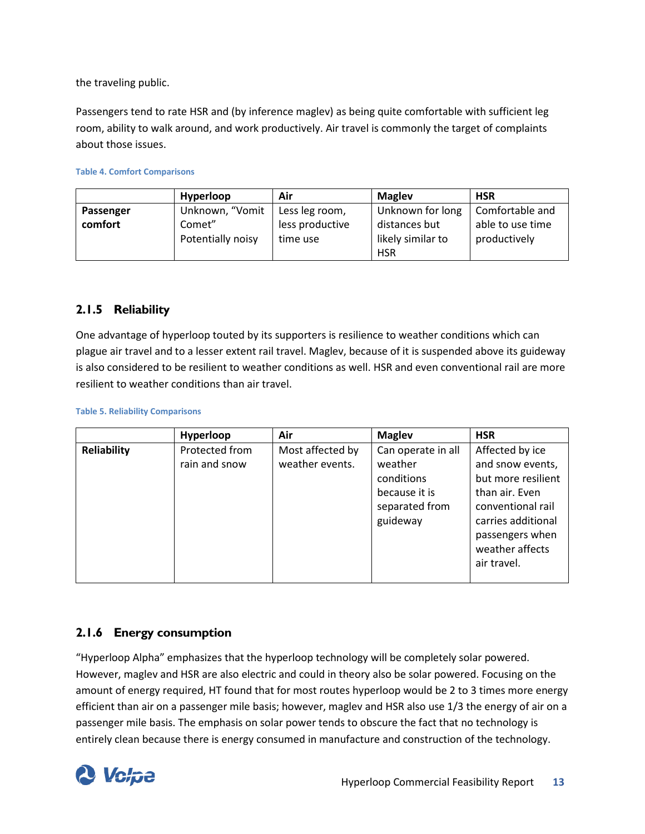the traveling public.

Passengers tend to rate HSR and (by inference maglev) as being quite comfortable with sufficient leg room, ability to walk around, and work productively. Air travel is commonly the target of complaints about those issues.

#### **Table 4. Comfort Comparisons**

|           | Hyperloop         | Air             | <b>Magley</b>     | <b>HSR</b>       |
|-----------|-------------------|-----------------|-------------------|------------------|
| Passenger | Unknown, "Vomit   | Less leg room,  | Unknown for long  | Comfortable and  |
| comfort   | Comet"            | less productive | distances but     | able to use time |
|           | Potentially noisy | time use        | likely similar to | productively     |
|           |                   |                 | <b>HSR</b>        |                  |

#### <span id="page-18-0"></span>**2.1.5 Reliability**

One advantage of hyperloop touted by its supporters is resilience to weather conditions which can plague air travel and to a lesser extent rail travel. Maglev, because of it is suspended above its guideway is also considered to be resilient to weather conditions as well. HSR and even conventional rail are more resilient to weather conditions than air travel.

#### **Table 5. Reliability Comparisons**

| Air<br><b>Maglev</b><br>Hyperloop                                                                                                                  | <b>HSR</b>                                                                                                                                                                                                          |
|----------------------------------------------------------------------------------------------------------------------------------------------------|---------------------------------------------------------------------------------------------------------------------------------------------------------------------------------------------------------------------|
| <b>Reliability</b><br>Protected from<br>Most affected by<br>weather events.<br>weather<br>rain and snow<br>conditions<br>because it is<br>guideway | Can operate in all<br>Affected by ice<br>and snow events,<br>but more resilient<br>than air. Even<br>separated from<br>conventional rail<br>carries additional<br>passengers when<br>weather affects<br>air travel. |

### <span id="page-18-1"></span>**2.1.6 Energy consumption**

"Hyperloop Alpha" emphasizes that the hyperloop technology will be completely solar powered. However, maglev and HSR are also electric and could in theory also be solar powered. Focusing on the amount of energy required, HT found that for most routes hyperloop would be 2 to 3 times more energy efficient than air on a passenger mile basis; however, maglev and HSR also use 1/3 the energy of air on a passenger mile basis. The emphasis on solar power tends to obscure the fact that no technology is entirely clean because there is energy consumed in manufacture and construction of the technology.

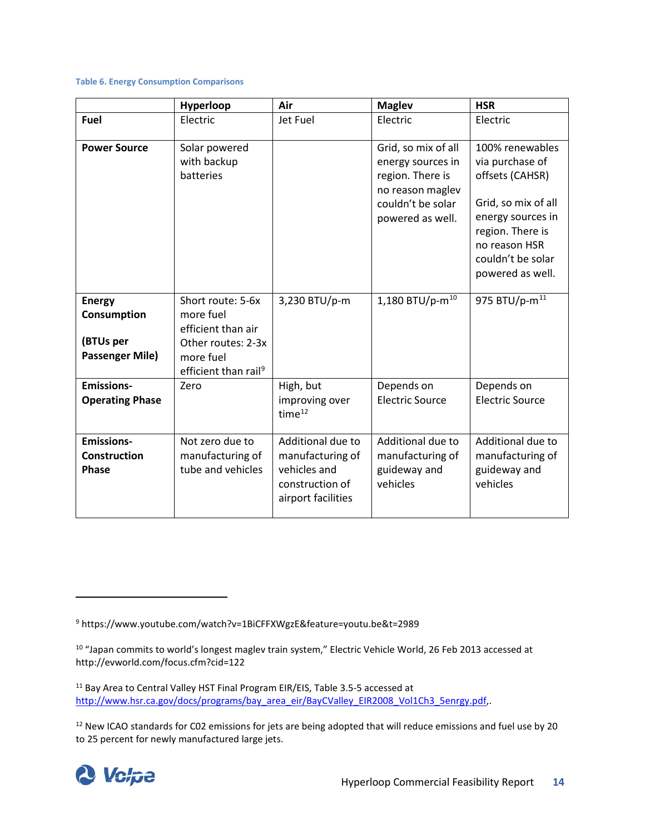#### **Table 6. Energy Consumption Comparisons**

|                                                                     | Hyperloop                                                                                                                   | Air                                                                                            | <b>Maglev</b>                                                                                                             | <b>HSR</b>                                                                                                                                                                      |
|---------------------------------------------------------------------|-----------------------------------------------------------------------------------------------------------------------------|------------------------------------------------------------------------------------------------|---------------------------------------------------------------------------------------------------------------------------|---------------------------------------------------------------------------------------------------------------------------------------------------------------------------------|
| <b>Fuel</b>                                                         | Electric                                                                                                                    | Jet Fuel                                                                                       | Electric                                                                                                                  | Electric                                                                                                                                                                        |
| <b>Power Source</b>                                                 | Solar powered<br>with backup<br>batteries                                                                                   |                                                                                                | Grid, so mix of all<br>energy sources in<br>region. There is<br>no reason maglev<br>couldn't be solar<br>powered as well. | 100% renewables<br>via purchase of<br>offsets (CAHSR)<br>Grid, so mix of all<br>energy sources in<br>region. There is<br>no reason HSR<br>couldn't be solar<br>powered as well. |
| <b>Energy</b><br>Consumption<br>(BTUs per<br><b>Passenger Mile)</b> | Short route: 5-6x<br>more fuel<br>efficient than air<br>Other routes: 2-3x<br>more fuel<br>efficient than rail <sup>9</sup> | 3,230 BTU/p-m                                                                                  | 1,180 BTU/p- $m^{10}$                                                                                                     | 975 BTU/p-m <sup>11</sup>                                                                                                                                                       |
| <b>Emissions-</b><br><b>Operating Phase</b>                         | Zero                                                                                                                        | High, but<br>improving over<br>time <sup>12</sup>                                              | Depends on<br><b>Electric Source</b>                                                                                      | Depends on<br><b>Electric Source</b>                                                                                                                                            |
| <b>Emissions-</b><br><b>Construction</b><br>Phase                   | Not zero due to<br>manufacturing of<br>tube and vehicles                                                                    | Additional due to<br>manufacturing of<br>vehicles and<br>construction of<br>airport facilities | Additional due to<br>manufacturing of<br>guideway and<br>vehicles                                                         | Additional due to<br>manufacturing of<br>guideway and<br>vehicles                                                                                                               |

<span id="page-19-3"></span><sup>&</sup>lt;sup>12</sup> New ICAO standards for C02 emissions for jets are being adopted that will reduce emissions and fuel use by 20 to 25 percent for newly manufactured large jets.



 $\overline{\phantom{a}}$ 

<span id="page-19-0"></span><sup>9</sup> https://www.youtube.com/watch?v=1BiCFFXWgzE&feature=youtu.be&t=2989

<span id="page-19-1"></span><sup>10</sup> "Japan commits to world's longest maglev train system," Electric Vehicle World, 26 Feb 2013 accessed at http://evworld.com/focus.cfm?cid=122

<span id="page-19-2"></span><sup>&</sup>lt;sup>11</sup> Bay Area to Central Valley HST Final Program EIR/EIS, Table 3.5-5 accessed at [http://www.hsr.ca.gov/docs/programs/bay\\_area\\_eir/BayCValley\\_EIR2008\\_Vol1Ch3\\_5enrgy.pdf,](http://www.hsr.ca.gov/docs/programs/bay_area_eir/BayCValley_EIR2008_Vol1Ch3_5enrgy.pdf).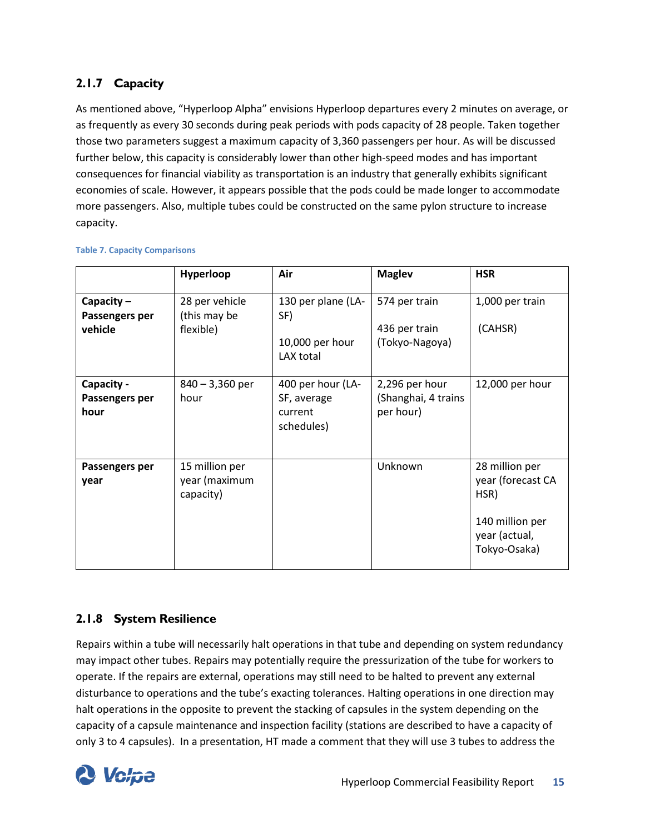## <span id="page-20-0"></span>**2.1.7 Capacity**

As mentioned above, "Hyperloop Alpha" envisions Hyperloop departures every 2 minutes on average, or as frequently as every 30 seconds during peak periods with pods capacity of 28 people. Taken together those two parameters suggest a maximum capacity of 3,360 passengers per hour. As will be discussed further below, this capacity is considerably lower than other high-speed modes and has important consequences for financial viability as transportation is an industry that generally exhibits significant economies of scale. However, it appears possible that the pods could be made longer to accommodate more passengers. Also, multiple tubes could be constructed on the same pylon structure to increase capacity.

|                                           | Hyperloop                                    | Air                                                       | <b>Maglev</b>                                      | <b>HSR</b>                                                                                      |
|-------------------------------------------|----------------------------------------------|-----------------------------------------------------------|----------------------------------------------------|-------------------------------------------------------------------------------------------------|
| Capacity $-$<br>Passengers per<br>vehicle | 28 per vehicle<br>(this may be<br>flexible)  | 130 per plane (LA-<br>SF)<br>10,000 per hour<br>LAX total | 574 per train<br>436 per train<br>(Tokyo-Nagoya)   | 1,000 per train<br>(CAHSR)                                                                      |
| Capacity -<br>Passengers per<br>hour      | $840 - 3,360$ per<br>hour                    | 400 per hour (LA-<br>SF, average<br>current<br>schedules) | 2,296 per hour<br>(Shanghai, 4 trains<br>per hour) | 12,000 per hour                                                                                 |
| Passengers per<br>year                    | 15 million per<br>year (maximum<br>capacity) |                                                           | Unknown                                            | 28 million per<br>year (forecast CA<br>HSR)<br>140 million per<br>year (actual,<br>Tokyo-Osaka) |

#### **Table 7. Capacity Comparisons**

### <span id="page-20-1"></span>**2.1.8 System Resilience**

Repairs within a tube will necessarily halt operations in that tube and depending on system redundancy may impact other tubes. Repairs may potentially require the pressurization of the tube for workers to operate. If the repairs are external, operations may still need to be halted to prevent any external disturbance to operations and the tube's exacting tolerances. Halting operations in one direction may halt operations in the opposite to prevent the stacking of capsules in the system depending on the capacity of a capsule maintenance and inspection facility (stations are described to have a capacity of only 3 to 4 capsules). In a presentation, HT made a comment that they will use 3 tubes to address the

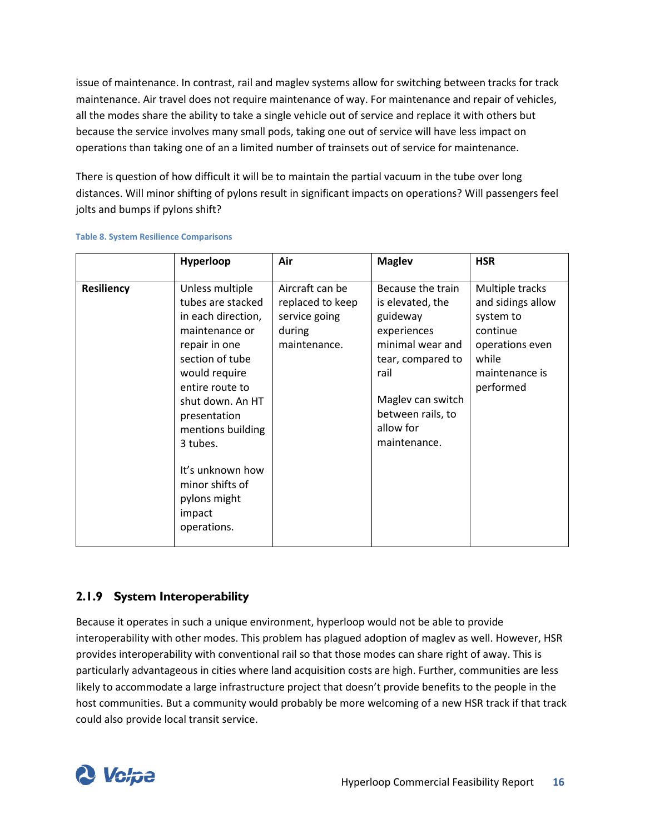issue of maintenance. In contrast, rail and maglev systems allow for switching between tracks for track maintenance. Air travel does not require maintenance of way. For maintenance and repair of vehicles, all the modes share the ability to take a single vehicle out of service and replace it with others but because the service involves many small pods, taking one out of service will have less impact on operations than taking one of an a limited number of trainsets out of service for maintenance.

There is question of how difficult it will be to maintain the partial vacuum in the tube over long distances. Will minor shifting of pylons result in significant impacts on operations? Will passengers feel jolts and bumps if pylons shift?

|                   | Hyperloop                                                                                                                                                                                                                                                                                                 | Air                                                                            | <b>Maglev</b>                                                                                                                                                                            | <b>HSR</b>                                                                                                               |
|-------------------|-----------------------------------------------------------------------------------------------------------------------------------------------------------------------------------------------------------------------------------------------------------------------------------------------------------|--------------------------------------------------------------------------------|------------------------------------------------------------------------------------------------------------------------------------------------------------------------------------------|--------------------------------------------------------------------------------------------------------------------------|
| <b>Resiliency</b> | Unless multiple<br>tubes are stacked<br>in each direction,<br>maintenance or<br>repair in one<br>section of tube<br>would require<br>entire route to<br>shut down. An HT<br>presentation<br>mentions building<br>3 tubes.<br>It's unknown how<br>minor shifts of<br>pylons might<br>impact<br>operations. | Aircraft can be<br>replaced to keep<br>service going<br>during<br>maintenance. | Because the train<br>is elevated, the<br>guideway<br>experiences<br>minimal wear and<br>tear, compared to<br>rail<br>Maglev can switch<br>between rails, to<br>allow for<br>maintenance. | Multiple tracks<br>and sidings allow<br>system to<br>continue<br>operations even<br>while<br>maintenance is<br>performed |

#### **Table 8. System Resilience Comparisons**

### <span id="page-21-0"></span>**2.1.9 System Interoperability**

Because it operates in such a unique environment, hyperloop would not be able to provide interoperability with other modes. This problem has plagued adoption of maglev as well. However, HSR provides interoperability with conventional rail so that those modes can share right of away. This is particularly advantageous in cities where land acquisition costs are high. Further, communities are less likely to accommodate a large infrastructure project that doesn't provide benefits to the people in the host communities. But a community would probably be more welcoming of a new HSR track if that track could also provide local transit service.

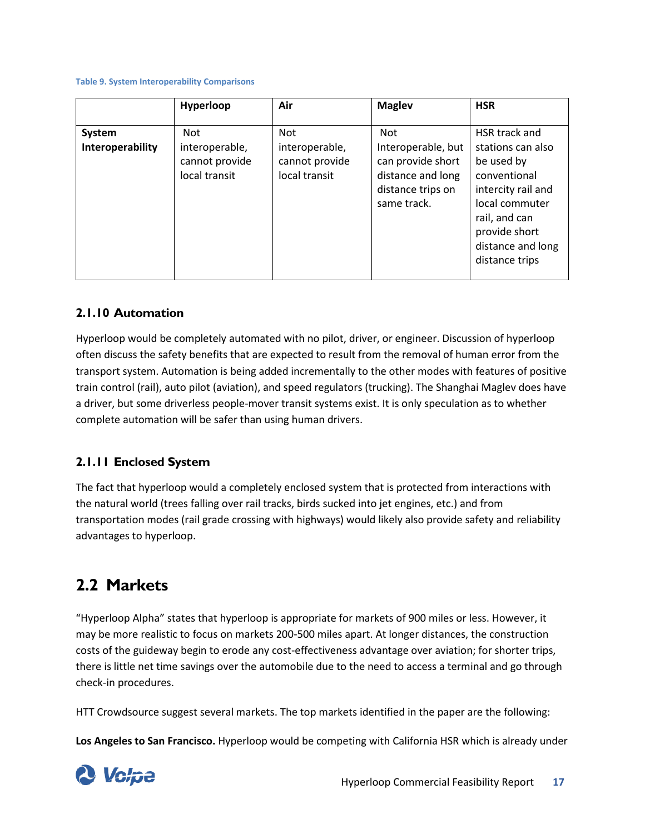#### **Table 9. System Interoperability Comparisons**

|                            | Hyperloop                                                | Air                                                             | <b>Maglev</b>                                                                                           | <b>HSR</b>                                                                                                                                                                        |
|----------------------------|----------------------------------------------------------|-----------------------------------------------------------------|---------------------------------------------------------------------------------------------------------|-----------------------------------------------------------------------------------------------------------------------------------------------------------------------------------|
| System<br>Interoperability | Not<br>interoperable,<br>cannot provide<br>local transit | <b>Not</b><br>interoperable,<br>cannot provide<br>local transit | Not<br>Interoperable, but<br>can provide short<br>distance and long<br>distance trips on<br>same track. | HSR track and<br>stations can also<br>be used by<br>conventional<br>intercity rail and<br>local commuter<br>rail, and can<br>provide short<br>distance and long<br>distance trips |

#### <span id="page-22-0"></span>**2.1.10 Automation**

Hyperloop would be completely automated with no pilot, driver, or engineer. Discussion of hyperloop often discuss the safety benefits that are expected to result from the removal of human error from the transport system. Automation is being added incrementally to the other modes with features of positive train control (rail), auto pilot (aviation), and speed regulators (trucking). The Shanghai Maglev does have a driver, but some driverless people-mover transit systems exist. It is only speculation as to whether complete automation will be safer than using human drivers.

### <span id="page-22-1"></span>**2.1.11 Enclosed System**

The fact that hyperloop would a completely enclosed system that is protected from interactions with the natural world (trees falling over rail tracks, birds sucked into jet engines, etc.) and from transportation modes (rail grade crossing with highways) would likely also provide safety and reliability advantages to hyperloop.

## <span id="page-22-2"></span>**2.2 Markets**

"Hyperloop Alpha" states that hyperloop is appropriate for markets of 900 miles or less. However, it may be more realistic to focus on markets 200-500 miles apart. At longer distances, the construction costs of the guideway begin to erode any cost-effectiveness advantage over aviation; for shorter trips, there is little net time savings over the automobile due to the need to access a terminal and go through check-in procedures.

HTT Crowdsource suggest several markets. The top markets identified in the paper are the following:

**Los Angeles to San Francisco.** Hyperloop would be competing with California HSR which is already under

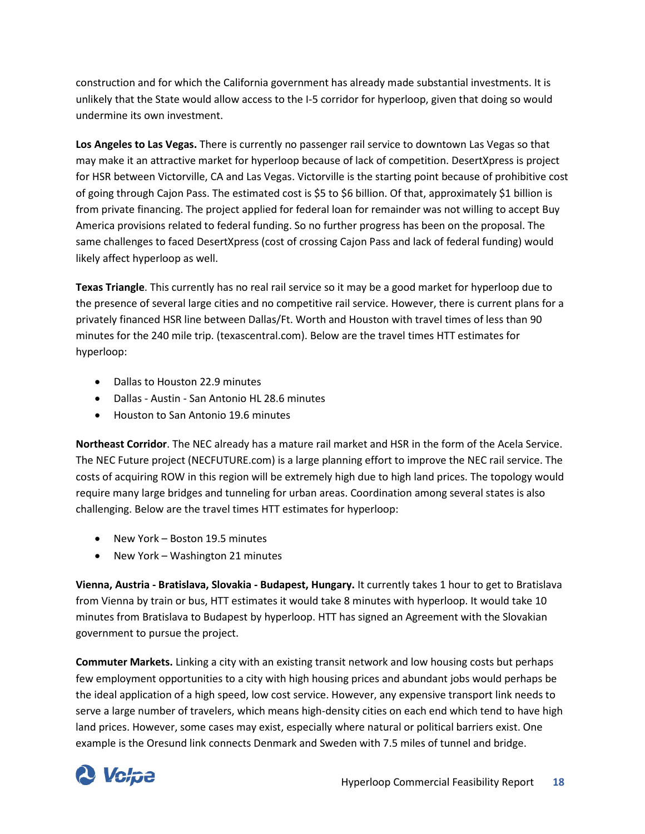construction and for which the California government has already made substantial investments. It is unlikely that the State would allow access to the I-5 corridor for hyperloop, given that doing so would undermine its own investment.

**Los Angeles to Las Vegas.** There is currently no passenger rail service to downtown Las Vegas so that may make it an attractive market for hyperloop because of lack of competition. DesertXpress is project for HSR between Victorville, CA and Las Vegas. Victorville is the starting point because of prohibitive cost of going through Cajon Pass. The estimated cost is \$5 to \$6 billion. Of that, approximately \$1 billion is from private financing. The project applied for federal loan for remainder was not willing to accept Buy America provisions related to federal funding. So no further progress has been on the proposal. The same challenges to faced DesertXpress (cost of crossing Cajon Pass and lack of federal funding) would likely affect hyperloop as well.

**Texas Triangle**. This currently has no real rail service so it may be a good market for hyperloop due to the presence of several large cities and no competitive rail service. However, there is current plans for a privately financed HSR line between Dallas/Ft. Worth and Houston with travel times of less than 90 minutes for the 240 mile trip. (texascentral.com). Below are the travel times HTT estimates for hyperloop:

- Dallas to Houston 22.9 minutes
- Dallas Austin San Antonio HL 28.6 minutes
- Houston to San Antonio 19.6 minutes

**Northeast Corridor**. The NEC already has a mature rail market and HSR in the form of the Acela Service. The NEC Future project (NECFUTURE.com) is a large planning effort to improve the NEC rail service. The costs of acquiring ROW in this region will be extremely high due to high land prices. The topology would require many large bridges and tunneling for urban areas. Coordination among several states is also challenging. Below are the travel times HTT estimates for hyperloop:

- New York Boston 19.5 minutes
- New York Washington 21 minutes

**Vienna, Austria - Bratislava, Slovakia - Budapest, Hungary.** It currently takes 1 hour to get to Bratislava from Vienna by train or bus, HTT estimates it would take 8 minutes with hyperloop. It would take 10 minutes from Bratislava to Budapest by hyperloop. HTT has signed an Agreement with the Slovakian government to pursue the project.

**Commuter Markets.** Linking a city with an existing transit network and low housing costs but perhaps few employment opportunities to a city with high housing prices and abundant jobs would perhaps be the ideal application of a high speed, low cost service. However, any expensive transport link needs to serve a large number of travelers, which means high-density cities on each end which tend to have high land prices. However, some cases may exist, especially where natural or political barriers exist. One example is the Oresund link connects Denmark and Sweden with 7.5 miles of tunnel and bridge.

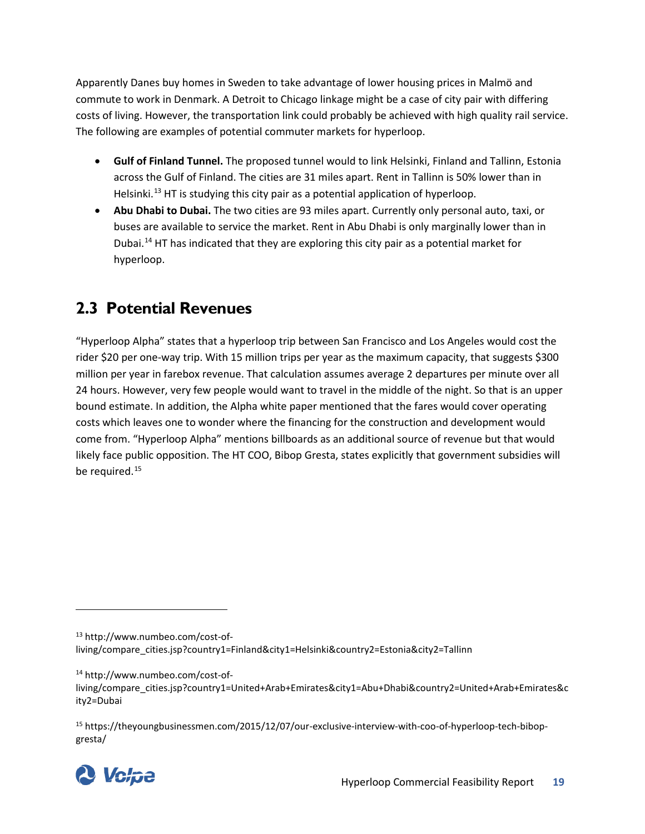Apparently Danes buy homes in Sweden to take advantage of lower housing prices in Malmö and commute to work in Denmark. A Detroit to Chicago linkage might be a case of city pair with differing costs of living. However, the transportation link could probably be achieved with high quality rail service. The following are examples of potential commuter markets for hyperloop.

- **Gulf of Finland Tunnel.** The proposed tunnel would to link Helsinki, Finland and Tallinn, Estonia across the Gulf of Finland. The cities are 31 miles apart. Rent in Tallinn is 50% lower than in Helsinki.<sup>[13](#page-24-1)</sup> HT is studying this city pair as a potential application of hyperloop.
- **Abu Dhabi to Dubai.** The two cities are 93 miles apart. Currently only personal auto, taxi, or buses are available to service the market. Rent in Abu Dhabi is only marginally lower than in Dubai.<sup>[14](#page-24-2)</sup> HT has indicated that they are exploring this city pair as a potential market for hyperloop.

# <span id="page-24-0"></span>**2.3 Potential Revenues**

"Hyperloop Alpha" states that a hyperloop trip between San Francisco and Los Angeles would cost the rider \$20 per one-way trip. With 15 million trips per year as the maximum capacity, that suggests \$300 million per year in farebox revenue. That calculation assumes average 2 departures per minute over all 24 hours. However, very few people would want to travel in the middle of the night. So that is an upper bound estimate. In addition, the Alpha white paper mentioned that the fares would cover operating costs which leaves one to wonder where the financing for the construction and development would come from. "Hyperloop Alpha" mentions billboards as an additional source of revenue but that would likely face public opposition. The HT COO, Bibop Gresta, states explicitly that government subsidies will be required.<sup>[15](#page-24-3)</sup>

<span id="page-24-3"></span><sup>15</sup> https://theyoungbusinessmen.com/2015/12/07/our-exclusive-interview-with-coo-of-hyperloop-tech-bibopgresta/



 $\overline{\phantom{a}}$ 

<span id="page-24-1"></span><sup>13</sup> http://www.numbeo.com/cost-of-

living/compare\_cities.jsp?country1=Finland&city1=Helsinki&country2=Estonia&city2=Tallinn

<span id="page-24-2"></span><sup>14</sup> http://www.numbeo.com/cost-of-

living/compare\_cities.jsp?country1=United+Arab+Emirates&city1=Abu+Dhabi&country2=United+Arab+Emirates&c ity2=Dubai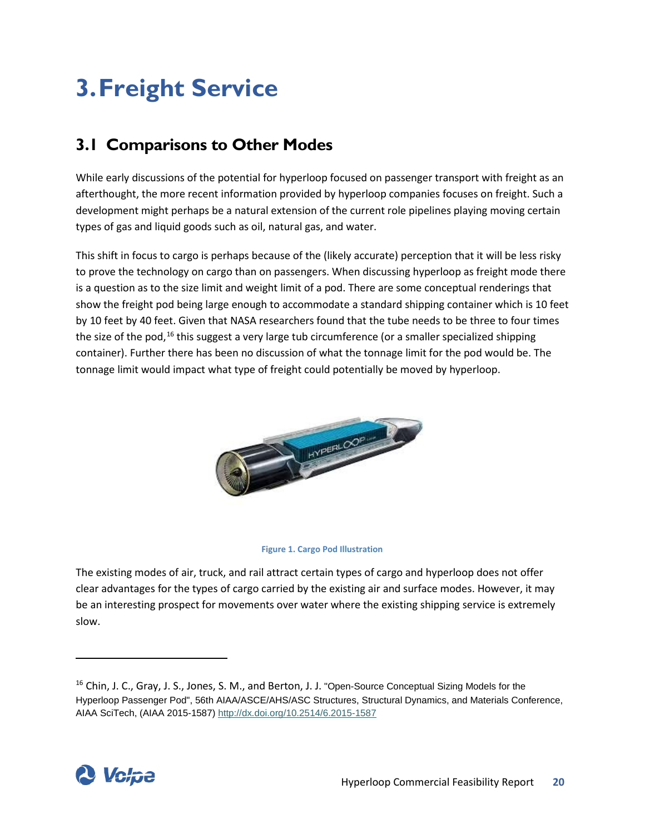# <span id="page-25-0"></span>**3.Freight Service**

# <span id="page-25-1"></span>**3.1 Comparisons to Other Modes**

While early discussions of the potential for hyperloop focused on passenger transport with freight as an afterthought, the more recent information provided by hyperloop companies focuses on freight. Such a development might perhaps be a natural extension of the current role pipelines playing moving certain types of gas and liquid goods such as oil, natural gas, and water.

This shift in focus to cargo is perhaps because of the (likely accurate) perception that it will be less risky to prove the technology on cargo than on passengers. When discussing hyperloop as freight mode there is a question as to the size limit and weight limit of a pod. There are some conceptual renderings that show the freight pod being large enough to accommodate a standard shipping container which is 10 feet by 10 feet by 40 feet. Given that NASA researchers found that the tube needs to be three to four times the size of the pod,<sup>[16](#page-25-2)</sup> this suggest a very large tub circumference (or a smaller specialized shipping container). Further there has been no discussion of what the tonnage limit for the pod would be. The tonnage limit would impact what type of freight could potentially be moved by hyperloop.





The existing modes of air, truck, and rail attract certain types of cargo and hyperloop does not offer clear advantages for the types of cargo carried by the existing air and surface modes. However, it may be an interesting prospect for movements over water where the existing shipping service is extremely slow.

<span id="page-25-2"></span><sup>&</sup>lt;sup>16</sup> Chin, J. C., Gray, J. S., Jones, S. M., and Berton, J. J. "Open-Source Conceptual Sizing Models for the Hyperloop Passenger Pod", 56th AIAA/ASCE/AHS/ASC Structures, Structural Dynamics, and Materials Conference, AIAA SciTech, (AIAA 2015-1587)<http://dx.doi.org/10.2514/6.2015-1587>

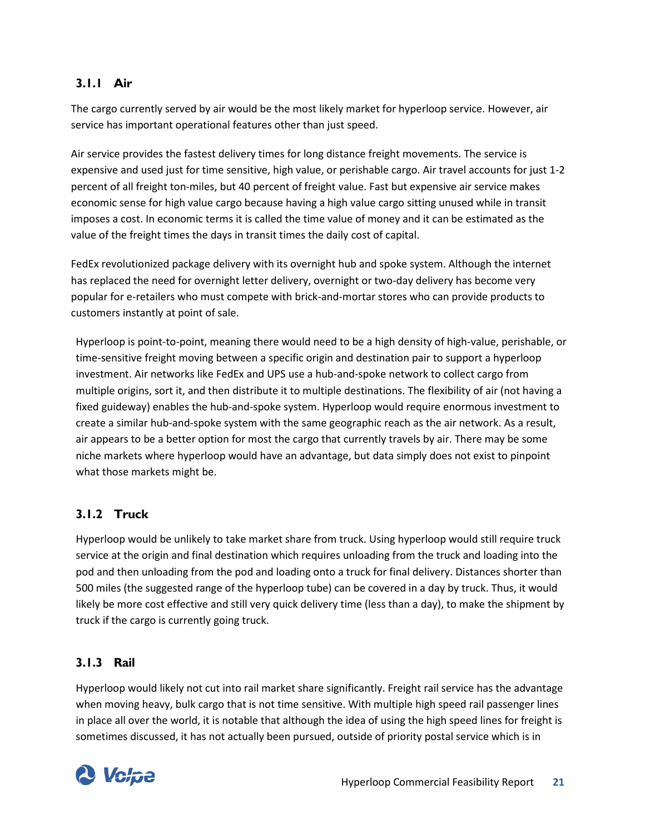### <span id="page-26-0"></span>**3.1.1 Air**

The cargo currently served by air would be the most likely market for hyperloop service. However, air service has important operational features other than just speed.

Air service provides the fastest delivery times for long distance freight movements. The service is expensive and used just for time sensitive, high value, or perishable cargo. Air travel accounts for just 1-2 percent of all freight ton-miles, but 40 percent of freight value. Fast but expensive air service makes economic sense for high value cargo because having a high value cargo sitting unused while in transit imposes a cost. In economic terms it is called the time value of money and it can be estimated as the value of the freight times the days in transit times the daily cost of capital.

FedEx revolutionized package delivery with its overnight hub and spoke system. Although the internet has replaced the need for overnight letter delivery, overnight or two-day delivery has become very popular for e-retailers who must compete with brick-and-mortar stores who can provide products to customers instantly at point of sale.

Hyperloop is point-to-point, meaning there would need to be a high density of high-value, perishable, or time-sensitive freight moving between a specific origin and destination pair to support a hyperloop investment. Air networks like FedEx and UPS use a hub-and-spoke network to collect cargo from multiple origins, sort it, and then distribute it to multiple destinations. The flexibility of air (not having a fixed guideway) enables the hub-and-spoke system. Hyperloop would require enormous investment to create a similar hub-and-spoke system with the same geographic reach as the air network. As a result, air appears to be a better option for most the cargo that currently travels by air. There may be some niche markets where hyperloop would have an advantage, but data simply does not exist to pinpoint what those markets might be.

### <span id="page-26-1"></span>**3.1.2 Truck**

Hyperloop would be unlikely to take market share from truck. Using hyperloop would still require truck service at the origin and final destination which requires unloading from the truck and loading into the pod and then unloading from the pod and loading onto a truck for final delivery. Distances shorter than 500 miles (the suggested range of the hyperloop tube) can be covered in a day by truck. Thus, it would likely be more cost effective and still very quick delivery time (less than a day), to make the shipment by truck if the cargo is currently going truck.

### <span id="page-26-2"></span>**3.1.3 Rail**

Hyperloop would likely not cut into rail market share significantly. Freight rail service has the advantage when moving heavy, bulk cargo that is not time sensitive. With multiple high speed rail passenger lines in place all over the world, it is notable that although the idea of using the high speed lines for freight is sometimes discussed, it has not actually been pursued, outside of priority postal service which is in

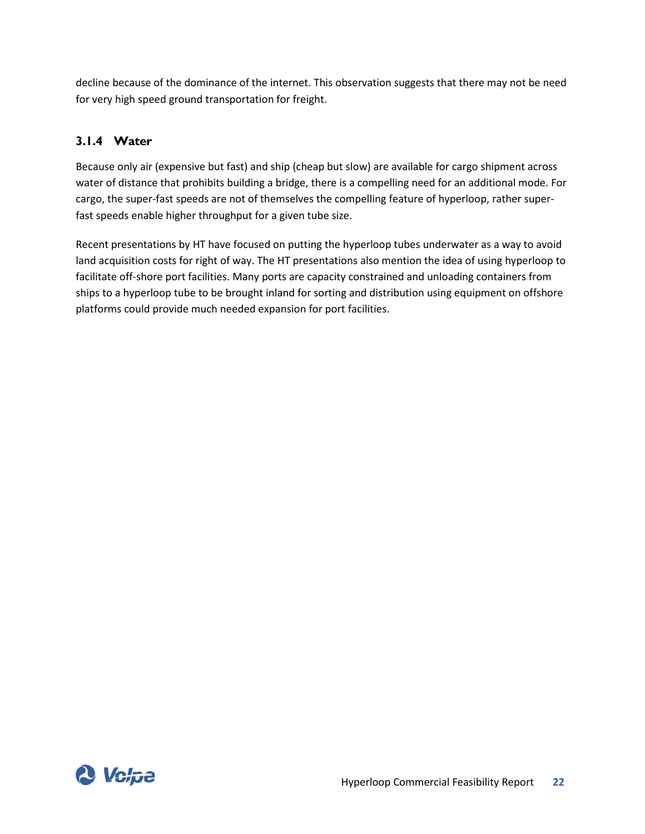decline because of the dominance of the internet. This observation suggests that there may not be need for very high speed ground transportation for freight.

## <span id="page-27-0"></span>**3.1.4 Water**

Because only air (expensive but fast) and ship (cheap but slow) are available for cargo shipment across water of distance that prohibits building a bridge, there is a compelling need for an additional mode. For cargo, the super-fast speeds are not of themselves the compelling feature of hyperloop, rather superfast speeds enable higher throughput for a given tube size.

Recent presentations by HT have focused on putting the hyperloop tubes underwater as a way to avoid land acquisition costs for right of way. The HT presentations also mention the idea of using hyperloop to facilitate off-shore port facilities. Many ports are capacity constrained and unloading containers from ships to a hyperloop tube to be brought inland for sorting and distribution using equipment on offshore platforms could provide much needed expansion for port facilities.

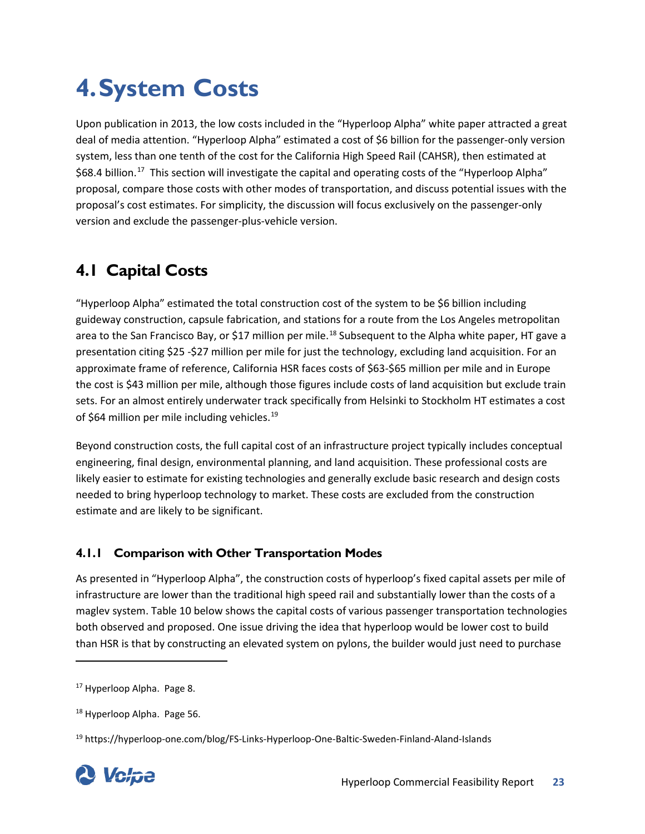# <span id="page-28-0"></span>**4.System Costs**

Upon publication in 2013, the low costs included in the "Hyperloop Alpha" white paper attracted a great deal of media attention. "Hyperloop Alpha" estimated a cost of \$6 billion for the passenger-only version system, less than one tenth of the cost for the California High Speed Rail (CAHSR), then estimated at \$68.4 billion.<sup>[17](#page-28-3)</sup> This section will investigate the capital and operating costs of the "Hyperloop Alpha" proposal, compare those costs with other modes of transportation, and discuss potential issues with the proposal's cost estimates. For simplicity, the discussion will focus exclusively on the passenger-only version and exclude the passenger-plus-vehicle version.

# <span id="page-28-1"></span>**4.1 Capital Costs**

"Hyperloop Alpha" estimated the total construction cost of the system to be \$6 billion including guideway construction, capsule fabrication, and stations for a route from the Los Angeles metropolitan area to the San Francisco Bay, or \$17 million per mile.<sup>[18](#page-28-4)</sup> Subsequent to the Alpha white paper, HT gave a presentation citing \$25 -\$27 million per mile for just the technology, excluding land acquisition. For an approximate frame of reference, California HSR faces costs of \$63-\$65 million per mile and in Europe the cost is \$43 million per mile, although those figures include costs of land acquisition but exclude train sets. For an almost entirely underwater track specifically from Helsinki to Stockholm HT estimates a cost of \$64 million per mile including vehicles. $^{19}$  $^{19}$  $^{19}$ 

Beyond construction costs, the full capital cost of an infrastructure project typically includes conceptual engineering, final design, environmental planning, and land acquisition. These professional costs are likely easier to estimate for existing technologies and generally exclude basic research and design costs needed to bring hyperloop technology to market. These costs are excluded from the construction estimate and are likely to be significant.

## <span id="page-28-2"></span>**4.1.1 Comparison with Other Transportation Modes**

As presented in "Hyperloop Alpha", the construction costs of hyperloop's fixed capital assets per mile of infrastructure are lower than the traditional high speed rail and substantially lower than the costs of a maglev system. [Table 10](#page-29-0) below shows the capital costs of various passenger transportation technologies both observed and proposed. One issue driving the idea that hyperloop would be lower cost to build than HSR is that by constructing an elevated system on pylons, the builder would just need to purchase

<span id="page-28-5"></span><span id="page-28-4"></span><sup>19</sup> https://hyperloop-one.com/blog/FS-Links-Hyperloop-One-Baltic-Sweden-Finland-Aland-Islands



 $\overline{\phantom{a}}$ 

<span id="page-28-3"></span><sup>&</sup>lt;sup>17</sup> Hyperloop Alpha. Page 8.

<sup>&</sup>lt;sup>18</sup> Hyperloop Alpha. Page 56.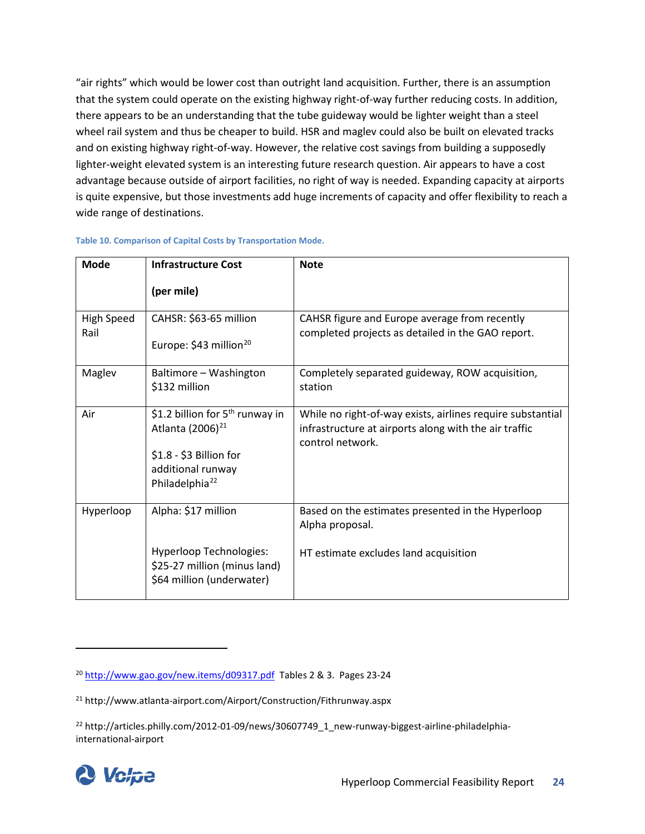"air rights" which would be lower cost than outright land acquisition. Further, there is an assumption that the system could operate on the existing highway right-of-way further reducing costs. In addition, there appears to be an understanding that the tube guideway would be lighter weight than a steel wheel rail system and thus be cheaper to build. HSR and maglev could also be built on elevated tracks and on existing highway right-of-way. However, the relative cost savings from building a supposedly lighter-weight elevated system is an interesting future research question. Air appears to have a cost advantage because outside of airport facilities, no right of way is needed. Expanding capacity at airports is quite expensive, but those investments add huge increments of capacity and offer flexibility to reach a wide range of destinations.

| <b>Mode</b>               | <b>Infrastructure Cost</b>                                                                  | <b>Note</b>                                                                                                                             |
|---------------------------|---------------------------------------------------------------------------------------------|-----------------------------------------------------------------------------------------------------------------------------------------|
|                           | (per mile)                                                                                  |                                                                                                                                         |
| <b>High Speed</b><br>Rail | CAHSR: \$63-65 million<br>Europe: \$43 million <sup>20</sup>                                | CAHSR figure and Europe average from recently<br>completed projects as detailed in the GAO report.                                      |
|                           |                                                                                             |                                                                                                                                         |
| Maglev                    | Baltimore - Washington<br>\$132 million                                                     | Completely separated guideway, ROW acquisition,<br>station                                                                              |
| Air                       | \$1.2 billion for 5 <sup>th</sup> runway in<br>Atlanta (2006) <sup>21</sup>                 | While no right-of-way exists, airlines require substantial<br>infrastructure at airports along with the air traffic<br>control network. |
|                           | \$1.8 - \$3 Billion for<br>additional runway<br>Philadelphia <sup>22</sup>                  |                                                                                                                                         |
| Hyperloop                 | Alpha: \$17 million                                                                         | Based on the estimates presented in the Hyperloop<br>Alpha proposal.                                                                    |
|                           | <b>Hyperloop Technologies:</b><br>\$25-27 million (minus land)<br>\$64 million (underwater) | HT estimate excludes land acquisition                                                                                                   |

#### <span id="page-29-0"></span>**Table 10. Comparison of Capital Costs by Transportation Mode.**

<span id="page-29-3"></span><span id="page-29-2"></span><sup>&</sup>lt;sup>22</sup> http://articles.philly.com/2012-01-09/news/30607749\_1\_new-runway-biggest-airline-philadelphiainternational-airport



<span id="page-29-1"></span><sup>20</sup> <http://www.gao.gov/new.items/d09317.pdf>Tables 2 & 3. Pages 23-24

<sup>21</sup> http://www.atlanta-airport.com/Airport/Construction/Fithrunway.aspx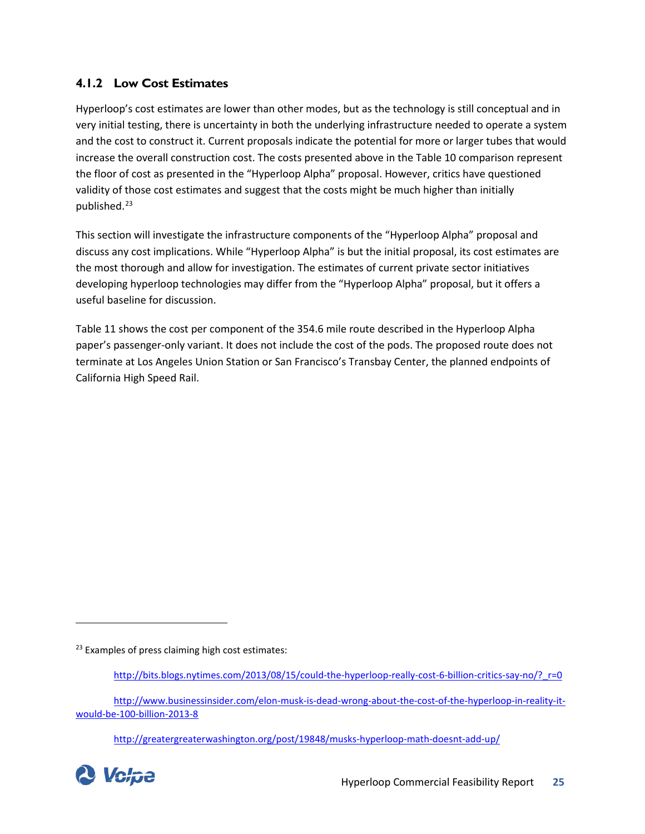### <span id="page-30-0"></span>**4.1.2 Low Cost Estimates**

Hyperloop's cost estimates are lower than other modes, but as the technology is still conceptual and in very initial testing, there is uncertainty in both the underlying infrastructure needed to operate a system and the cost to construct it. Current proposals indicate the potential for more or larger tubes that would increase the overall construction cost. The costs presented above in the [Table 10](#page-29-0) comparison represent the floor of cost as presented in the "Hyperloop Alpha" proposal. However, critics have questioned validity of those cost estimates and suggest that the costs might be much higher than initially published.<sup>[23](#page-30-1)</sup>

This section will investigate the infrastructure components of the "Hyperloop Alpha" proposal and discuss any cost implications. While "Hyperloop Alpha" is but the initial proposal, its cost estimates are the most thorough and allow for investigation. The estimates of current private sector initiatives developing hyperloop technologies may differ from the "Hyperloop Alpha" proposal, but it offers a useful baseline for discussion.

[Table 11](#page-31-0) shows the cost per component of the 354.6 mile route described in the Hyperloop Alpha paper's passenger-only variant. It does not include the cost of the pods. The proposed route does not terminate at Los Angeles Union Station or San Francisco's Transbay Center, the planned endpoints of California High Speed Rail.

<span id="page-30-1"></span><sup>23</sup> Examples of press claiming high cost estimates:

<http://greatergreaterwashington.org/post/19848/musks-hyperloop-math-doesnt-add-up/>



 $\overline{\phantom{a}}$ 

[http://bits.blogs.nytimes.com/2013/08/15/could-the-hyperloop-really-cost-6-billion-critics-say-no/?\\_r=0](http://bits.blogs.nytimes.com/2013/08/15/could-the-hyperloop-really-cost-6-billion-critics-say-no/?_r=0)

[http://www.businessinsider.com/elon-musk-is-dead-wrong-about-the-cost-of-the-hyperloop-in-reality-it](http://www.businessinsider.com/elon-musk-is-dead-wrong-about-the-cost-of-the-hyperloop-in-reality-it-would-be-100-billion-2013-8)[would-be-100-billion-2013-8](http://www.businessinsider.com/elon-musk-is-dead-wrong-about-the-cost-of-the-hyperloop-in-reality-it-would-be-100-billion-2013-8)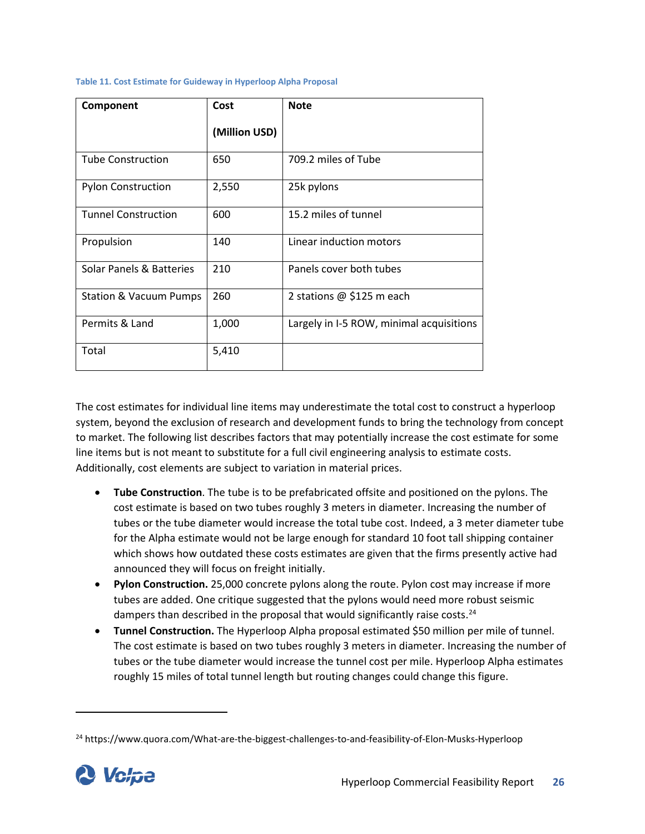| Component                         | Cost          | <b>Note</b>                              |
|-----------------------------------|---------------|------------------------------------------|
|                                   | (Million USD) |                                          |
| <b>Tube Construction</b>          | 650           | 709.2 miles of Tube                      |
| <b>Pylon Construction</b>         | 2,550         | 25k pylons                               |
| <b>Tunnel Construction</b>        | 600           | 15.2 miles of tunnel                     |
| Propulsion                        | 140           | Linear induction motors                  |
| Solar Panels & Batteries          | 210           | Panels cover both tubes                  |
| <b>Station &amp; Vacuum Pumps</b> | 260           | 2 stations $@$ \$125 m each              |
| Permits & Land                    | 1,000         | Largely in I-5 ROW, minimal acquisitions |
| Total                             | 5,410         |                                          |

#### <span id="page-31-0"></span>**Table 11. Cost Estimate for Guideway in Hyperloop Alpha Proposal**

The cost estimates for individual line items may underestimate the total cost to construct a hyperloop system, beyond the exclusion of research and development funds to bring the technology from concept to market. The following list describes factors that may potentially increase the cost estimate for some line items but is not meant to substitute for a full civil engineering analysis to estimate costs. Additionally, cost elements are subject to variation in material prices.

- **Tube Construction**. The tube is to be prefabricated offsite and positioned on the pylons. The cost estimate is based on two tubes roughly 3 meters in diameter. Increasing the number of tubes or the tube diameter would increase the total tube cost. Indeed, a 3 meter diameter tube for the Alpha estimate would not be large enough for standard 10 foot tall shipping container which shows how outdated these costs estimates are given that the firms presently active had announced they will focus on freight initially.
- **Pylon Construction.** 25,000 concrete pylons along the route. Pylon cost may increase if more tubes are added. One critique suggested that the pylons would need more robust seismic dampers than described in the proposal that would significantly raise costs.<sup>[24](#page-31-1)</sup>
- **Tunnel Construction.** The Hyperloop Alpha proposal estimated \$50 million per mile of tunnel. The cost estimate is based on two tubes roughly 3 meters in diameter. Increasing the number of tubes or the tube diameter would increase the tunnel cost per mile. Hyperloop Alpha estimates roughly 15 miles of total tunnel length but routing changes could change this figure.

<span id="page-31-1"></span><sup>&</sup>lt;sup>24</sup> https://www.quora.com/What-are-the-biggest-challenges-to-and-feasibility-of-Elon-Musks-Hyperloop

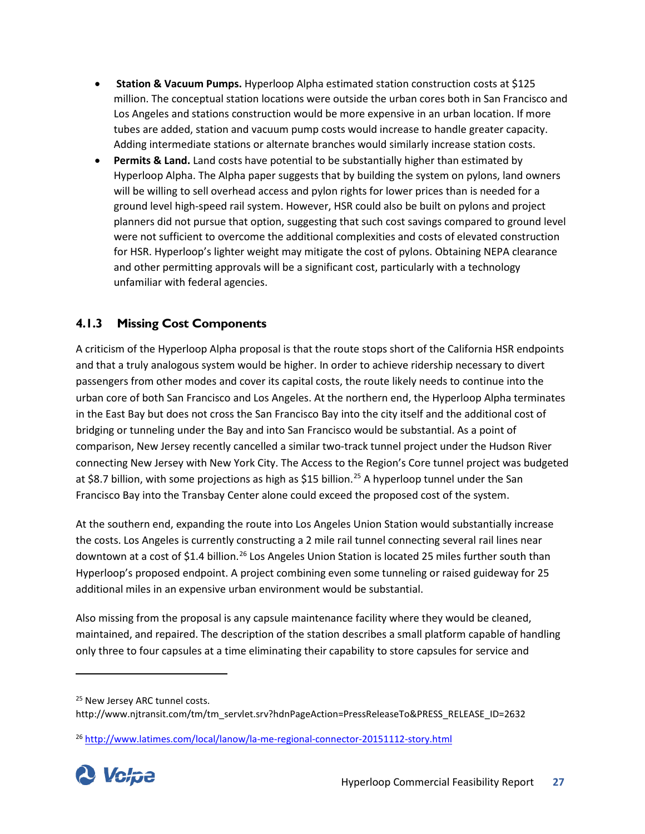- **Station & Vacuum Pumps.** Hyperloop Alpha estimated station construction costs at \$125 million. The conceptual station locations were outside the urban cores both in San Francisco and Los Angeles and stations construction would be more expensive in an urban location. If more tubes are added, station and vacuum pump costs would increase to handle greater capacity. Adding intermediate stations or alternate branches would similarly increase station costs.
- **Permits & Land.** Land costs have potential to be substantially higher than estimated by Hyperloop Alpha. The Alpha paper suggests that by building the system on pylons, land owners will be willing to sell overhead access and pylon rights for lower prices than is needed for a ground level high-speed rail system. However, HSR could also be built on pylons and project planners did not pursue that option, suggesting that such cost savings compared to ground level were not sufficient to overcome the additional complexities and costs of elevated construction for HSR. Hyperloop's lighter weight may mitigate the cost of pylons. Obtaining NEPA clearance and other permitting approvals will be a significant cost, particularly with a technology unfamiliar with federal agencies.

## <span id="page-32-0"></span>**4.1.3 Missing Cost Components**

A criticism of the Hyperloop Alpha proposal is that the route stops short of the California HSR endpoints and that a truly analogous system would be higher. In order to achieve ridership necessary to divert passengers from other modes and cover its capital costs, the route likely needs to continue into the urban core of both San Francisco and Los Angeles. At the northern end, the Hyperloop Alpha terminates in the East Bay but does not cross the San Francisco Bay into the city itself and the additional cost of bridging or tunneling under the Bay and into San Francisco would be substantial. As a point of comparison, New Jersey recently cancelled a similar two-track tunnel project under the Hudson River connecting New Jersey with New York City. The Access to the Region's Core tunnel project was budgeted at \$8.7 billion, with some projections as high as \$15 billion.<sup>[25](#page-32-1)</sup> A hyperloop tunnel under the San Francisco Bay into the Transbay Center alone could exceed the proposed cost of the system.

At the southern end, expanding the route into Los Angeles Union Station would substantially increase the costs. Los Angeles is currently constructing a 2 mile rail tunnel connecting several rail lines near downtown at a cost of \$1.4 billion.<sup>[26](#page-32-2)</sup> Los Angeles Union Station is located 25 miles further south than Hyperloop's proposed endpoint. A project combining even some tunneling or raised guideway for 25 additional miles in an expensive urban environment would be substantial.

Also missing from the proposal is any capsule maintenance facility where they would be cleaned, maintained, and repaired. The description of the station describes a small platform capable of handling only three to four capsules at a time eliminating their capability to store capsules for service and

<span id="page-32-1"></span><sup>25</sup> New Jersey ARC tunnel costs.

<span id="page-32-2"></span><sup>26</sup> <http://www.latimes.com/local/lanow/la-me-regional-connector-20151112-story.html>



 $\overline{\phantom{a}}$ 

http://www.njtransit.com/tm/tm\_servlet.srv?hdnPageAction=PressReleaseTo&PRESS\_RELEASE\_ID=2632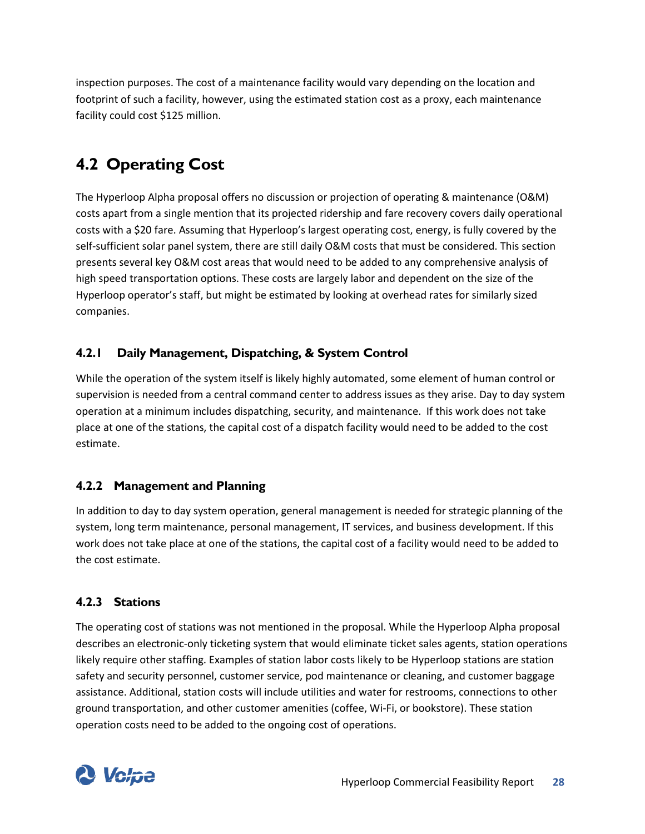inspection purposes. The cost of a maintenance facility would vary depending on the location and footprint of such a facility, however, using the estimated station cost as a proxy, each maintenance facility could cost \$125 million.

# <span id="page-33-0"></span>**4.2 Operating Cost**

The Hyperloop Alpha proposal offers no discussion or projection of operating & maintenance (O&M) costs apart from a single mention that its projected ridership and fare recovery covers daily operational costs with a \$20 fare. Assuming that Hyperloop's largest operating cost, energy, is fully covered by the self-sufficient solar panel system, there are still daily O&M costs that must be considered. This section presents several key O&M cost areas that would need to be added to any comprehensive analysis of high speed transportation options. These costs are largely labor and dependent on the size of the Hyperloop operator's staff, but might be estimated by looking at overhead rates for similarly sized companies.

## <span id="page-33-1"></span>**4.2.1 Daily Management, Dispatching, & System Control**

While the operation of the system itself is likely highly automated, some element of human control or supervision is needed from a central command center to address issues as they arise. Day to day system operation at a minimum includes dispatching, security, and maintenance. If this work does not take place at one of the stations, the capital cost of a dispatch facility would need to be added to the cost estimate.

### <span id="page-33-2"></span>**4.2.2 Management and Planning**

In addition to day to day system operation, general management is needed for strategic planning of the system, long term maintenance, personal management, IT services, and business development. If this work does not take place at one of the stations, the capital cost of a facility would need to be added to the cost estimate.

### <span id="page-33-3"></span>**4.2.3 Stations**

The operating cost of stations was not mentioned in the proposal. While the Hyperloop Alpha proposal describes an electronic-only ticketing system that would eliminate ticket sales agents, station operations likely require other staffing. Examples of station labor costs likely to be Hyperloop stations are station safety and security personnel, customer service, pod maintenance or cleaning, and customer baggage assistance. Additional, station costs will include utilities and water for restrooms, connections to other ground transportation, and other customer amenities (coffee, Wi-Fi, or bookstore). These station operation costs need to be added to the ongoing cost of operations.

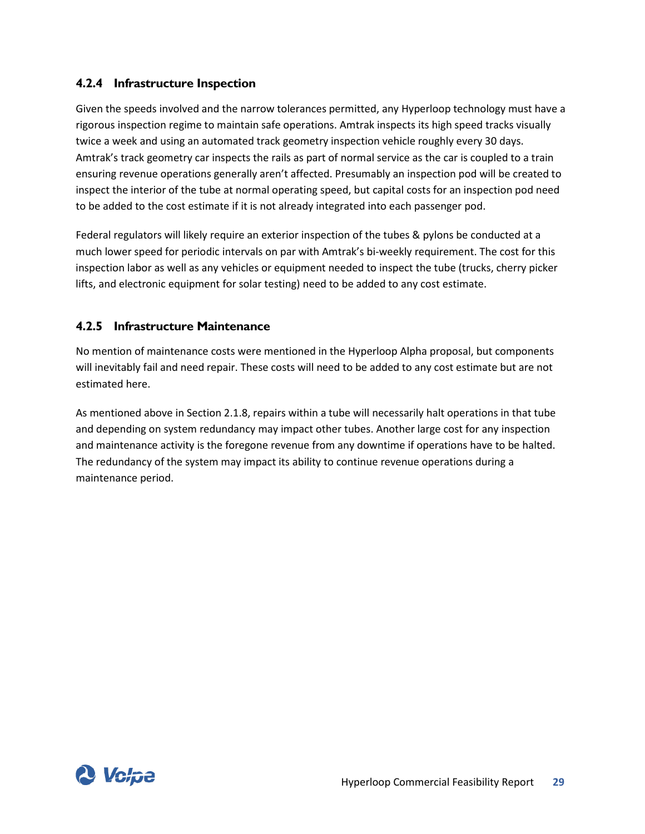### <span id="page-34-0"></span>**4.2.4 Infrastructure Inspection**

Given the speeds involved and the narrow tolerances permitted, any Hyperloop technology must have a rigorous inspection regime to maintain safe operations. Amtrak inspects its high speed tracks visually twice a week and using an automated track geometry inspection vehicle roughly every 30 days. Amtrak's track geometry car inspects the rails as part of normal service as the car is coupled to a train ensuring revenue operations generally aren't affected. Presumably an inspection pod will be created to inspect the interior of the tube at normal operating speed, but capital costs for an inspection pod need to be added to the cost estimate if it is not already integrated into each passenger pod.

Federal regulators will likely require an exterior inspection of the tubes & pylons be conducted at a much lower speed for periodic intervals on par with Amtrak's bi-weekly requirement. The cost for this inspection labor as well as any vehicles or equipment needed to inspect the tube (trucks, cherry picker lifts, and electronic equipment for solar testing) need to be added to any cost estimate.

#### <span id="page-34-1"></span>**4.2.5 Infrastructure Maintenance**

No mention of maintenance costs were mentioned in the Hyperloop Alpha proposal, but components will inevitably fail and need repair. These costs will need to be added to any cost estimate but are not estimated here.

As mentioned above in Sectio[n 2.1.8,](#page-20-1) repairs within a tube will necessarily halt operations in that tube and depending on system redundancy may impact other tubes. Another large cost for any inspection and maintenance activity is the foregone revenue from any downtime if operations have to be halted. The redundancy of the system may impact its ability to continue revenue operations during a maintenance period.

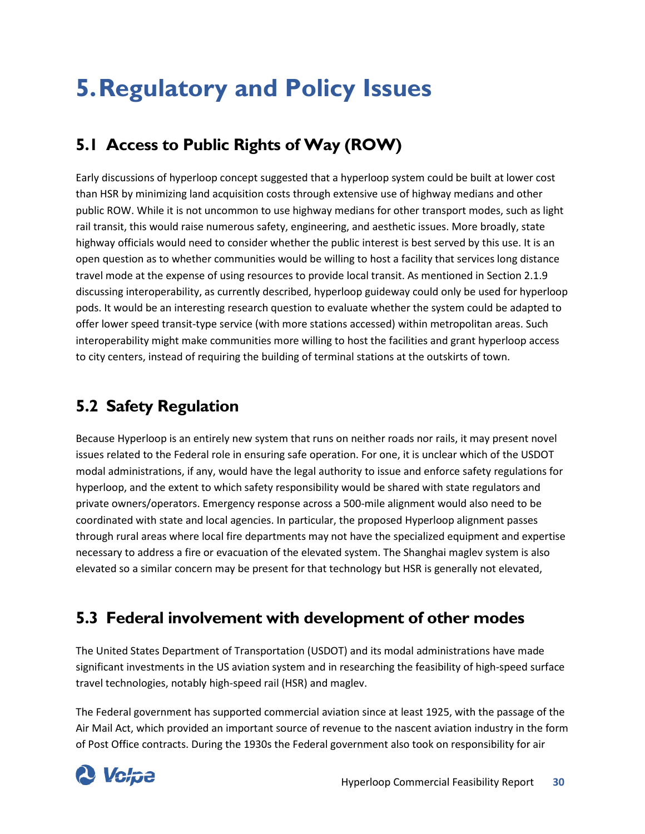# <span id="page-35-0"></span>**5.Regulatory and Policy Issues**

# <span id="page-35-1"></span>**5.1 Access to Public Rights of Way (ROW)**

Early discussions of hyperloop concept suggested that a hyperloop system could be built at lower cost than HSR by minimizing land acquisition costs through extensive use of highway medians and other public ROW. While it is not uncommon to use highway medians for other transport modes, such as light rail transit, this would raise numerous safety, engineering, and aesthetic issues. More broadly, state highway officials would need to consider whether the public interest is best served by this use. It is an open question as to whether communities would be willing to host a facility that services long distance travel mode at the expense of using resources to provide local transit. As mentioned in Section [2.1.9](#page-21-0) discussing interoperability, as currently described, hyperloop guideway could only be used for hyperloop pods. It would be an interesting research question to evaluate whether the system could be adapted to offer lower speed transit-type service (with more stations accessed) within metropolitan areas. Such interoperability might make communities more willing to host the facilities and grant hyperloop access to city centers, instead of requiring the building of terminal stations at the outskirts of town.

## <span id="page-35-2"></span>**5.2 Safety Regulation**

Because Hyperloop is an entirely new system that runs on neither roads nor rails, it may present novel issues related to the Federal role in ensuring safe operation. For one, it is unclear which of the USDOT modal administrations, if any, would have the legal authority to issue and enforce safety regulations for hyperloop, and the extent to which safety responsibility would be shared with state regulators and private owners/operators. Emergency response across a 500-mile alignment would also need to be coordinated with state and local agencies. In particular, the proposed Hyperloop alignment passes through rural areas where local fire departments may not have the specialized equipment and expertise necessary to address a fire or evacuation of the elevated system. The Shanghai maglev system is also elevated so a similar concern may be present for that technology but HSR is generally not elevated,

# <span id="page-35-3"></span>**5.3 Federal involvement with development of other modes**

The United States Department of Transportation (USDOT) and its modal administrations have made significant investments in the US aviation system and in researching the feasibility of high-speed surface travel technologies, notably high-speed rail (HSR) and maglev.

The Federal government has supported commercial aviation since at least 1925, with the passage of the Air Mail Act, which provided an important source of revenue to the nascent aviation industry in the form of Post Office contracts. During the 1930s the Federal government also took on responsibility for air

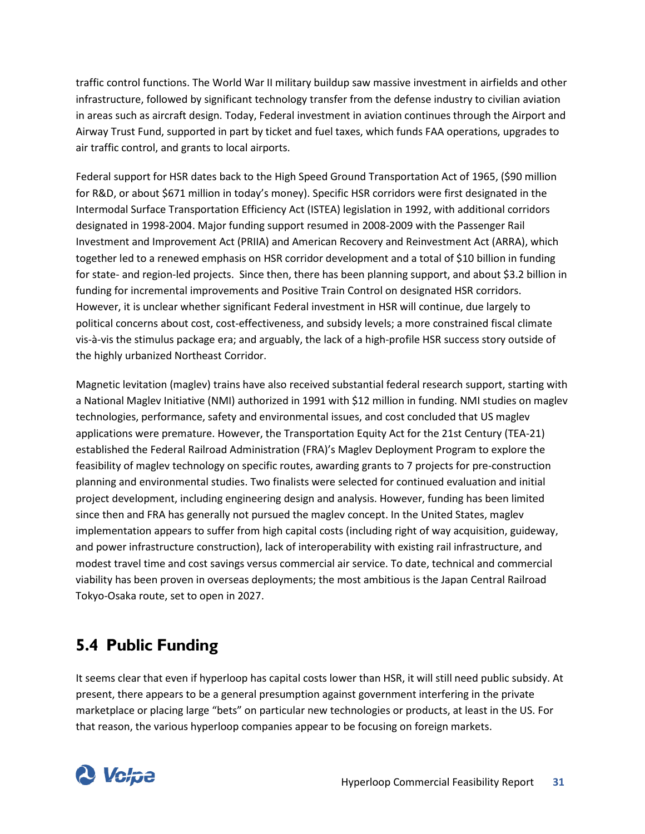traffic control functions. The World War II military buildup saw massive investment in airfields and other infrastructure, followed by significant technology transfer from the defense industry to civilian aviation in areas such as aircraft design. Today, Federal investment in aviation continues through the Airport and Airway Trust Fund, supported in part by ticket and fuel taxes, which funds FAA operations, upgrades to air traffic control, and grants to local airports.

Federal support for HSR dates back to the High Speed Ground Transportation Act of 1965, (\$90 million for R&D, or about \$671 million in today's money). Specific HSR corridors were first designated in the Intermodal Surface Transportation Efficiency Act (ISTEA) legislation in 1992, with additional corridors designated in 1998-2004. Major funding support resumed in 2008-2009 with the Passenger Rail Investment and Improvement Act (PRIIA) and American Recovery and Reinvestment Act (ARRA), which together led to a renewed emphasis on HSR corridor development and a total of \$10 billion in funding for state- and region-led projects. Since then, there has been planning support, and about \$3.2 billion in funding for incremental improvements and Positive Train Control on designated HSR corridors. However, it is unclear whether significant Federal investment in HSR will continue, due largely to political concerns about cost, cost-effectiveness, and subsidy levels; a more constrained fiscal climate vis-à-vis the stimulus package era; and arguably, the lack of a high-profile HSR success story outside of the highly urbanized Northeast Corridor.

Magnetic levitation (maglev) trains have also received substantial federal research support, starting with a National Maglev Initiative (NMI) authorized in 1991 with \$12 million in funding. NMI studies on maglev technologies, performance, safety and environmental issues, and cost concluded that US maglev applications were premature. However, the Transportation Equity Act for the 21st Century (TEA-21) established the Federal Railroad Administration (FRA)'s Maglev Deployment Program to explore the feasibility of maglev technology on specific routes, awarding grants to 7 projects for pre-construction planning and environmental studies. Two finalists were selected for continued evaluation and initial project development, including engineering design and analysis. However, funding has been limited since then and FRA has generally not pursued the maglev concept. In the United States, maglev implementation appears to suffer from high capital costs (including right of way acquisition, guideway, and power infrastructure construction), lack of interoperability with existing rail infrastructure, and modest travel time and cost savings versus commercial air service. To date, technical and commercial viability has been proven in overseas deployments; the most ambitious is the Japan Central Railroad Tokyo-Osaka route, set to open in 2027.

# <span id="page-36-0"></span>**5.4 Public Funding**

It seems clear that even if hyperloop has capital costs lower than HSR, it will still need public subsidy. At present, there appears to be a general presumption against government interfering in the private marketplace or placing large "bets" on particular new technologies or products, at least in the US. For that reason, the various hyperloop companies appear to be focusing on foreign markets.

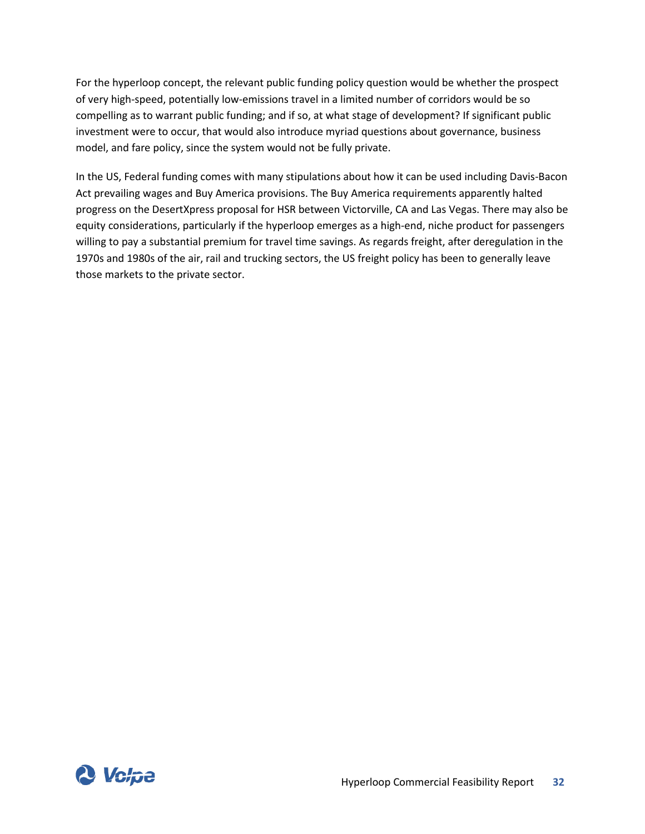For the hyperloop concept, the relevant public funding policy question would be whether the prospect of very high-speed, potentially low-emissions travel in a limited number of corridors would be so compelling as to warrant public funding; and if so, at what stage of development? If significant public investment were to occur, that would also introduce myriad questions about governance, business model, and fare policy, since the system would not be fully private.

In the US, Federal funding comes with many stipulations about how it can be used including Davis-Bacon Act prevailing wages and Buy America provisions. The Buy America requirements apparently halted progress on the DesertXpress proposal for HSR between Victorville, CA and Las Vegas. There may also be equity considerations, particularly if the hyperloop emerges as a high-end, niche product for passengers willing to pay a substantial premium for travel time savings. As regards freight, after deregulation in the 1970s and 1980s of the air, rail and trucking sectors, the US freight policy has been to generally leave those markets to the private sector.

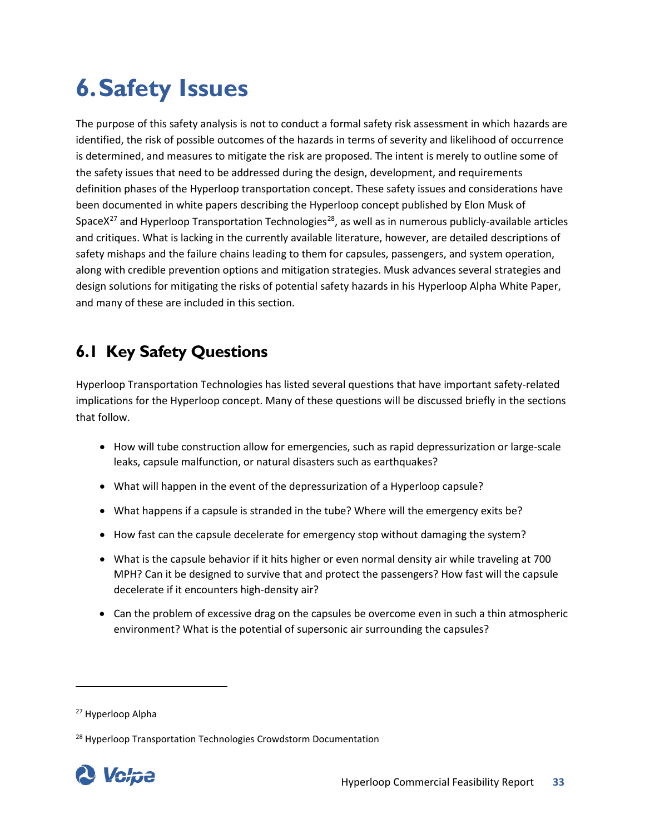# <span id="page-38-0"></span>**6.Safety Issues**

The purpose of this safety analysis is not to conduct a formal safety risk assessment in which hazards are identified, the risk of possible outcomes of the hazards in terms of severity and likelihood of occurrence is determined, and measures to mitigate the risk are proposed. The intent is merely to outline some of the safety issues that need to be addressed during the design, development, and requirements definition phases of the Hyperloop transportation concept. These safety issues and considerations have been documented in white papers describing the Hyperloop concept published by Elon Musk of SpaceX<sup>27</sup> and Hyperloop Transportation Technologies<sup>28</sup>, as well as in numerous publicly-available articles and critiques. What is lacking in the currently available literature, however, are detailed descriptions of safety mishaps and the failure chains leading to them for capsules, passengers, and system operation, along with credible prevention options and mitigation strategies. Musk advances several strategies and design solutions for mitigating the risks of potential safety hazards in his Hyperloop Alpha White Paper, and many of these are included in this section.

# <span id="page-38-1"></span>**6.1 Key Safety Questions**

Hyperloop Transportation Technologies has listed several questions that have important safety-related implications for the Hyperloop concept. Many of these questions will be discussed briefly in the sections that follow.

- How will tube construction allow for emergencies, such as rapid depressurization or large-scale leaks, capsule malfunction, or natural disasters such as earthquakes?
- What will happen in the event of the depressurization of a Hyperloop capsule?
- What happens if a capsule is stranded in the tube? Where will the emergency exits be?
- How fast can the capsule decelerate for emergency stop without damaging the system?
- What is the capsule behavior if it hits higher or even normal density air while traveling at 700 MPH? Can it be designed to survive that and protect the passengers? How fast will the capsule decelerate if it encounters high-density air?
- Can the problem of excessive drag on the capsules be overcome even in such a thin atmospheric environment? What is the [potential of supersonic air surrounding the capsules?](http://www.cnet.com/news/simulation-verdict-elon-musks-hyperloop-needs-tweaking/)

<span id="page-38-3"></span><sup>&</sup>lt;sup>28</sup> Hyperloop Transportation Technologies Crowdstorm Documentation



<span id="page-38-2"></span><sup>27</sup> Hyperloop Alpha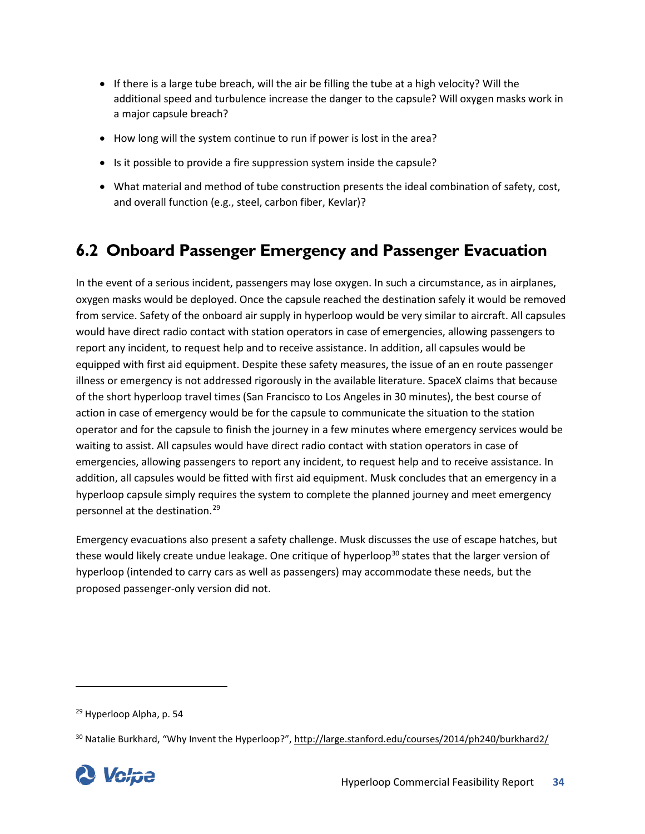- If there is a large tube breach, will the air be filling the tube at a high velocity? Will the additional speed and turbulence increase the danger to the capsule? Will oxygen masks work in a major capsule breach?
- How long will the system continue to run if power is lost in the area?
- Is it possible to provide a fire suppression system inside the capsule?
- What material and method of tube construction presents the ideal combination of safety, cost, and overall function (e.g., steel, carbon fiber, Kevlar)?

## <span id="page-39-0"></span>**6.2 Onboard Passenger Emergency and Passenger Evacuation**

In the event of a serious incident, passengers may lose oxygen. In such a circumstance, as in airplanes, oxygen masks would be deployed. Once the capsule reached the destination safely it would be removed from service. Safety of the onboard air supply in hyperloop would be very similar to aircraft. All capsules would have direct radio contact with station operators in case of emergencies, allowing passengers to report any incident, to request help and to receive assistance. In addition, all capsules would be equipped with first aid equipment. Despite these safety measures, the issue of an en route passenger illness or emergency is not addressed rigorously in the available literature. SpaceX claims that because of the short hyperloop travel times (San Francisco to Los Angeles in 30 minutes), the best course of action in case of emergency would be for the capsule to communicate the situation to the station operator and for the capsule to finish the journey in a few minutes where emergency services would be waiting to assist. All capsules would have direct radio contact with station operators in case of emergencies, allowing passengers to report any incident, to request help and to receive assistance. In addition, all capsules would be fitted with first aid equipment. Musk concludes that an emergency in a hyperloop capsule simply requires the system to complete the planned journey and meet emergency personnel at the destination.[29](#page-39-1)

Emergency evacuations also present a safety challenge. Musk discusses the use of escape hatches, but these would likely create undue leakage. One critique of hyperloop<sup>[30](#page-39-2)</sup> states that the larger version of hyperloop (intended to carry cars as well as passengers) may accommodate these needs, but the proposed passenger-only version did not.

<span id="page-39-2"></span><span id="page-39-1"></span><sup>&</sup>lt;sup>30</sup> Natalie Burkhard, "Why Invent the Hyperloop?"[, http://large.stanford.edu/courses/2014/ph240/burkhard2/](http://large.stanford.edu/courses/2014/ph240/burkhard2/)



<sup>29</sup> Hyperloop Alpha, p. 54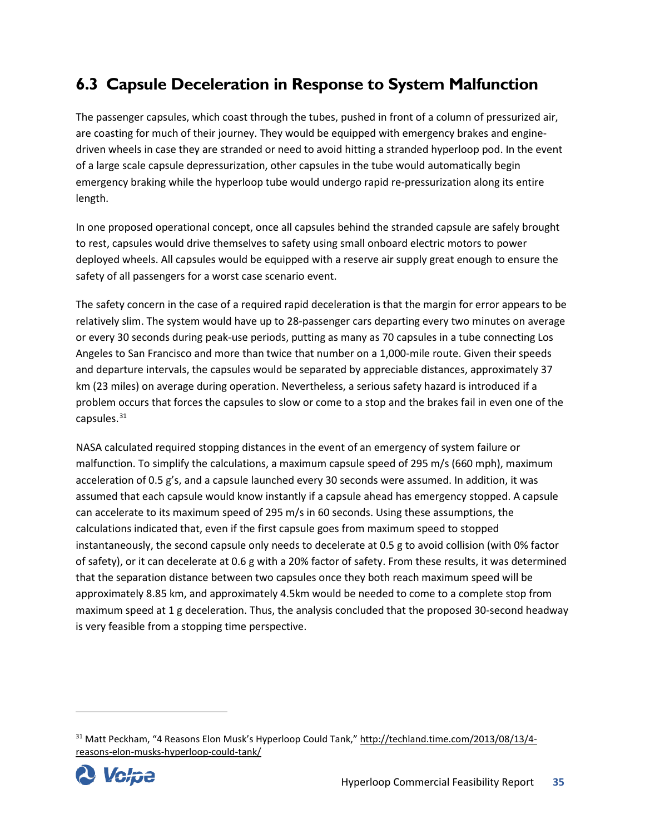# <span id="page-40-0"></span>**6.3 Capsule Deceleration in Response to System Malfunction**

The passenger capsules, which coast through the tubes, pushed in front of a column of pressurized air, are coasting for much of their journey. They would be equipped with emergency brakes and enginedriven wheels in case they are stranded or need to avoid hitting a stranded hyperloop pod. In the event of a large scale capsule depressurization, other capsules in the tube would automatically begin emergency braking while the hyperloop tube would undergo rapid re-pressurization along its entire length.

In one proposed operational concept, once all capsules behind the stranded capsule are safely brought to rest, capsules would drive themselves to safety using small onboard electric motors to power deployed wheels. All capsules would be equipped with a reserve air supply great enough to ensure the safety of all passengers for a worst case scenario event.

The safety concern in the case of a required rapid deceleration is that the margin for error appears to be relatively slim. The system would have up to 28-passenger cars departing every two minutes on average or every 30 seconds during peak-use periods, putting as many as 70 capsules in a tube connecting Los Angeles to San Francisco and more than twice that number on a 1,000-mile route. Given their speeds and departure intervals, the capsules would be separated by appreciable distances, approximately 37 km (23 miles) on average during operation. Nevertheless, a serious safety hazard is introduced if a problem occurs that forces the capsules to slow or come to a stop and the brakes fail in even one of the capsules. $31$ 

NASA calculated required stopping distances in the event of an emergency of system failure or malfunction. To simplify the calculations, a maximum capsule speed of 295 m/s (660 mph), maximum acceleration of 0.5 g's, and a capsule launched every 30 seconds were assumed. In addition, it was assumed that each capsule would know instantly if a capsule ahead has emergency stopped. A capsule can accelerate to its maximum speed of 295 m/s in 60 seconds. Using these assumptions, the calculations indicated that, even if the first capsule goes from maximum speed to stopped instantaneously, the second capsule only needs to decelerate at 0.5 g to avoid collision (with 0% factor of safety), or it can decelerate at 0.6 g with a 20% factor of safety. From these results, it was determined that the separation distance between two capsules once they both reach maximum speed will be approximately 8.85 km, and approximately 4.5km would be needed to come to a complete stop from maximum speed at 1 g deceleration. Thus, the analysis concluded that the proposed 30-second headway is very feasible from a stopping time perspective.

<span id="page-40-1"></span><sup>31</sup> Matt Peckham, "4 Reasons Elon Musk's Hyperloop Could Tank," [http://techland.time.com/2013/08/13/4](http://techland.time.com/2013/08/13/4-reasons-elon-musks-hyperloop-could-tank/) [reasons-elon-musks-hyperloop-could-tank/](http://techland.time.com/2013/08/13/4-reasons-elon-musks-hyperloop-could-tank/) 

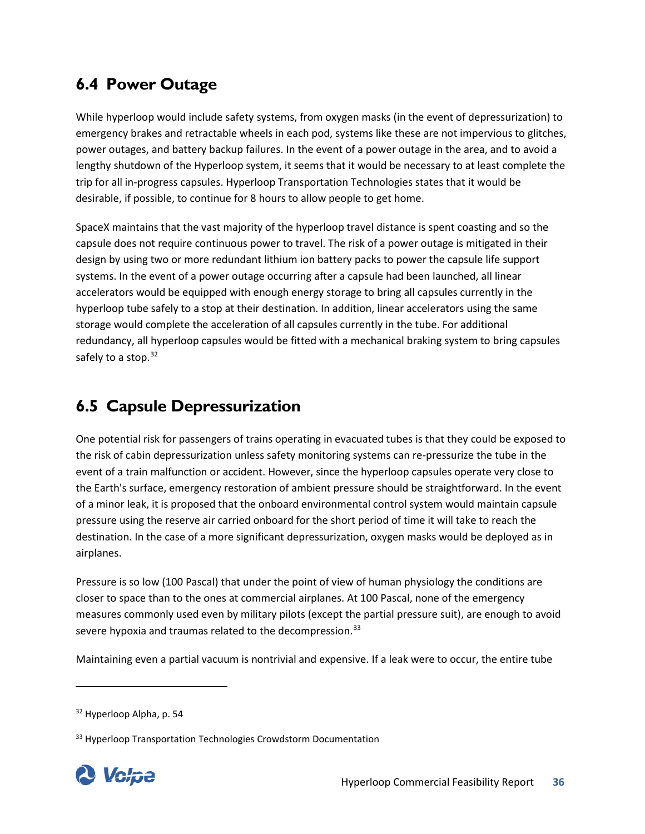## <span id="page-41-0"></span>**6.4 Power Outage**

While hyperloop would include safety systems, from oxygen masks (in the event of depressurization) to emergency brakes and retractable wheels in each pod, systems like these are not impervious to glitches, power outages, and battery backup failures. In the event of a power outage in the area, and to avoid a lengthy shutdown of the Hyperloop system, it seems that it would be necessary to at least complete the trip for all in-progress capsules. Hyperloop Transportation Technologies states that it would be desirable, if possible, to continue for 8 hours to allow people to get home.

SpaceX maintains that the vast majority of the hyperloop travel distance is spent coasting and so the capsule does not require continuous power to travel. The risk of a power outage is mitigated in their design by using two or more redundant lithium ion battery packs to power the capsule life support systems. In the event of a power outage occurring after a capsule had been launched, all linear accelerators would be equipped with enough energy storage to bring all capsules currently in the hyperloop tube safely to a stop at their destination. In addition, linear accelerators using the same storage would complete the acceleration of all capsules currently in the tube. For additional redundancy, all hyperloop capsules would be fitted with a mechanical braking system to bring capsules safely to a stop.<sup>[32](#page-41-2)</sup>

# <span id="page-41-1"></span>**6.5 Capsule Depressurization**

One potential risk for passengers of trains operating in evacuated tubes is that they could be exposed to the risk of cabin depressurization unless safety monitoring systems can re-pressurize the tube in the event of a train malfunction or accident. However, since the hyperloop capsules operate very close to the Earth's surface, emergency restoration of ambient pressure should be straightforward. In the event of a minor leak, it is proposed that the onboard environmental control system would maintain capsule pressure using the reserve air carried onboard for the short period of time it will take to reach the destination. In the case of a more significant depressurization, oxygen masks would be deployed as in airplanes.

Pressure is so low (100 Pascal) that under the point of view of human physiology the conditions are closer to space than to the ones at commercial airplanes. At 100 Pascal, none of the emergency measures commonly used even by military pilots (except the partial pressure suit), are enough to avoid severe hypoxia and traumas related to the decompression.<sup>[33](#page-41-3)</sup>

Maintaining even a partial vacuum is nontrivial and expensive. If a leak were to occur, the entire tube

<span id="page-41-3"></span><span id="page-41-2"></span><sup>&</sup>lt;sup>33</sup> Hyperloop Transportation Technologies Crowdstorm Documentation



<sup>&</sup>lt;sup>32</sup> Hyperloop Alpha, p. 54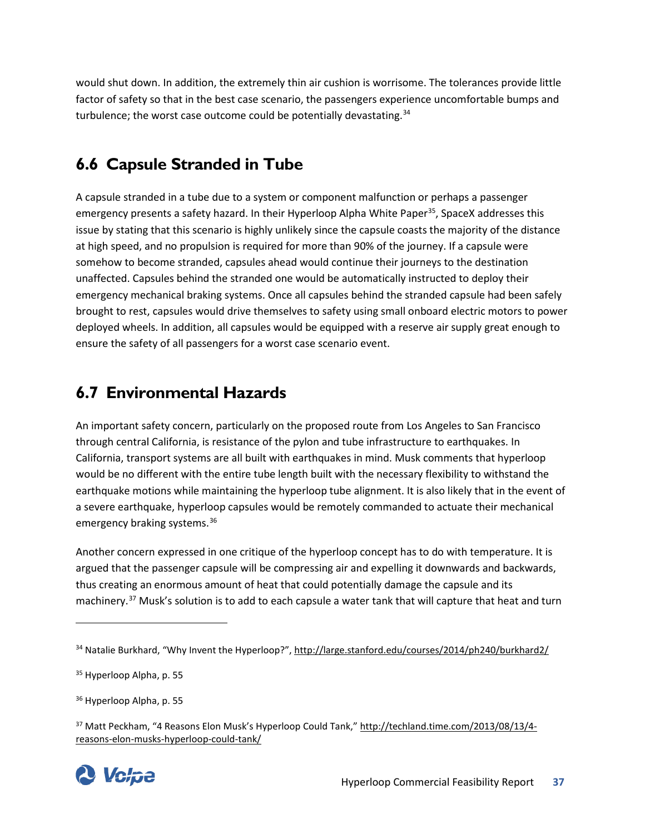would shut down. In addition, the extremely thin air cushion is worrisome. The tolerances provide little factor of safety so that in the best case scenario, the passengers experience uncomfortable bumps and turbulence; the worst case outcome could be potentially devastating.<sup>[34](#page-42-2)</sup>

# <span id="page-42-0"></span>**6.6 Capsule Stranded in Tube**

A capsule stranded in a tube due to a system or component malfunction or perhaps a passenger emergency presents a safety hazard. In their Hyperloop Alpha White Paper<sup>35</sup>, SpaceX addresses this issue by stating that this scenario is highly unlikely since the capsule coasts the majority of the distance at high speed, and no propulsion is required for more than 90% of the journey. If a capsule were somehow to become stranded, capsules ahead would continue their journeys to the destination unaffected. Capsules behind the stranded one would be automatically instructed to deploy their emergency mechanical braking systems. Once all capsules behind the stranded capsule had been safely brought to rest, capsules would drive themselves to safety using small onboard electric motors to power deployed wheels. In addition, all capsules would be equipped with a reserve air supply great enough to ensure the safety of all passengers for a worst case scenario event.

## <span id="page-42-1"></span>**6.7 Environmental Hazards**

An important safety concern, particularly on the proposed route from Los Angeles to San Francisco through central California, is resistance of the pylon and tube infrastructure to earthquakes. In California, transport systems are all built with earthquakes in mind. Musk comments that hyperloop would be no different with the entire tube length built with the necessary flexibility to withstand the earthquake motions while maintaining the hyperloop tube alignment. It is also likely that in the event of a severe earthquake, hyperloop capsules would be remotely commanded to actuate their mechanical emergency braking systems.[36](#page-42-4)

Another concern expressed in one critique of the hyperloop concept has to do with temperature. It is argued that the passenger capsule will be compressing air and expelling it downwards and backwards, thus creating an enormous amount of heat that could potentially damage the capsule and its machinery.<sup>[37](#page-42-5)</sup> Musk's solution is to add to each capsule a water tank that will capture that heat and turn

 $\overline{\phantom{a}}$ 

<span id="page-42-5"></span><span id="page-42-4"></span><sup>37</sup> Matt Peckham, "4 Reasons Elon Musk's Hyperloop Could Tank," [http://techland.time.com/2013/08/13/4](http://techland.time.com/2013/08/13/4-reasons-elon-musks-hyperloop-could-tank/) [reasons-elon-musks-hyperloop-could-tank/](http://techland.time.com/2013/08/13/4-reasons-elon-musks-hyperloop-could-tank/) 



<span id="page-42-2"></span><sup>34</sup> Natalie Burkhard, "Why Invent the Hyperloop?"[, http://large.stanford.edu/courses/2014/ph240/burkhard2/](http://large.stanford.edu/courses/2014/ph240/burkhard2/)

<span id="page-42-3"></span><sup>&</sup>lt;sup>35</sup> Hyperloop Alpha, p. 55

<sup>&</sup>lt;sup>36</sup> Hyperloop Alpha, p. 55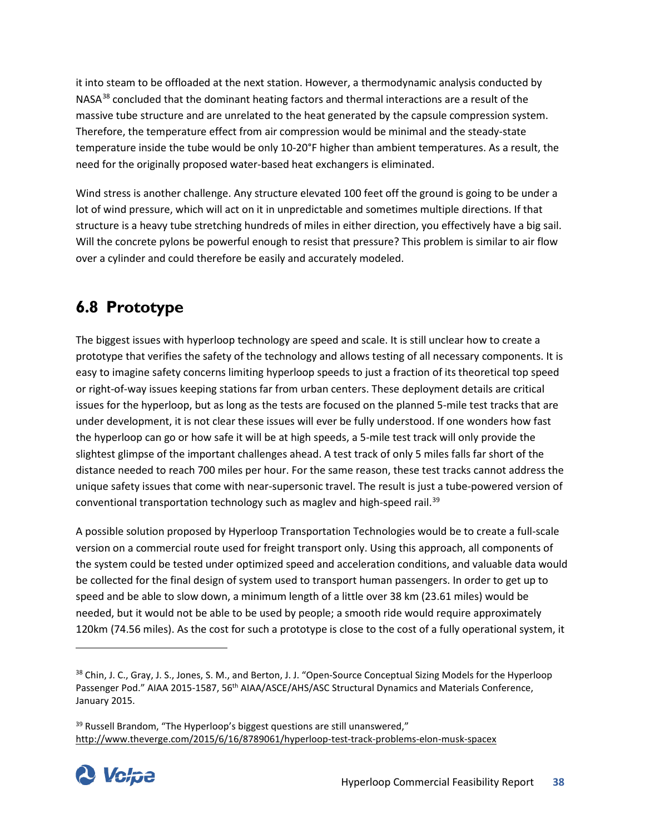it into steam to be offloaded at the next station. However, a thermodynamic analysis conducted by NASA<sup>[38](#page-43-1)</sup> concluded that the dominant heating factors and thermal interactions are a result of the massive tube structure and are unrelated to the heat generated by the capsule compression system. Therefore, the temperature effect from air compression would be minimal and the steady-state temperature inside the tube would be only 10-20°F higher than ambient temperatures. As a result, the need for the originally proposed water-based heat exchangers is eliminated.

Wind stress is another challenge. Any structure elevated 100 feet off the ground is going to be under a lot of wind pressure, which will act on it in unpredictable and sometimes multiple directions. If that structure is a heavy tube stretching hundreds of miles in either direction, you effectively have a big sail. Will the concrete pylons be powerful enough to resist that pressure? This problem is similar to air flow over a cylinder and could therefore be easily and accurately modeled.

# <span id="page-43-0"></span>**6.8 Prototype**

The biggest issues with hyperloop technology are speed and scale. It is still unclear how to create a prototype that verifies the safety of the technology and allows testing of all necessary components. It is easy to imagine safety concerns limiting hyperloop speeds to just a fraction of its theoretical top speed or right-of-way issues keeping stations far from urban centers. These deployment details are critical issues for the hyperloop, but as long as the tests are focused on the planned 5-mile test tracks that are under development, it is not clear these issues will ever be fully understood. If one wonders how fast the hyperloop can go or how safe it will be at high speeds, a 5-mile test track will only provide the slightest glimpse of the important challenges ahead. A test track of only 5 miles falls far short of the distance needed to reach 700 miles per hour. For the same reason, these test tracks cannot address the unique safety issues that come with near-supersonic travel. The result is just a tube-powered version of conventional transportation technology such as maglev and high-speed rail.<sup>[39](#page-43-2)</sup>

A possible solution proposed by Hyperloop Transportation Technologies would be to create a full-scale version on a commercial route used for freight transport only. Using this approach, all components of the system could be tested under optimized speed and acceleration conditions, and valuable data would be collected for the final design of system used to transport human passengers. In order to get up to speed and be able to slow down, a minimum length of a little over 38 km (23.61 miles) would be needed, but it would not be able to be used by people; a smooth ride would require approximately 120km (74.56 miles). As the cost for such a prototype is close to the cost of a fully operational system, it

<span id="page-43-2"></span><sup>&</sup>lt;sup>39</sup> Russell Brandom, "The Hyperloop's biggest questions are still unanswered," <http://www.theverge.com/2015/6/16/8789061/hyperloop-test-track-problems-elon-musk-spacex>



 $\overline{\phantom{a}}$ 

<span id="page-43-1"></span><sup>&</sup>lt;sup>38</sup> Chin, J. C., Gray, J. S., Jones, S. M., and Berton, J. J. "Open-Source Conceptual Sizing Models for the Hyperloop Passenger Pod." AIAA 2015-1587, 56<sup>th</sup> AIAA/ASCE/AHS/ASC Structural Dynamics and Materials Conference, January 2015.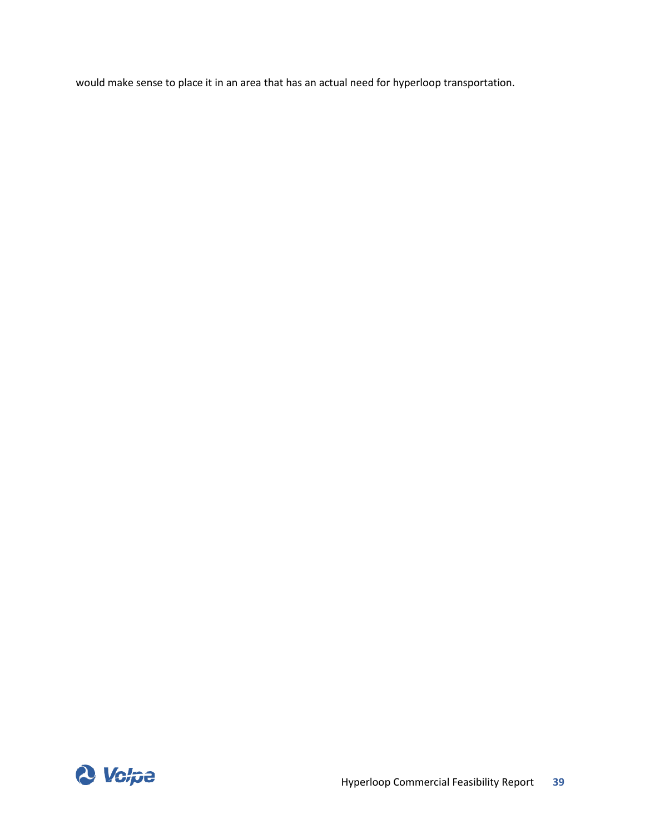would make sense to place it in an area that has an actual need for hyperloop transportation.

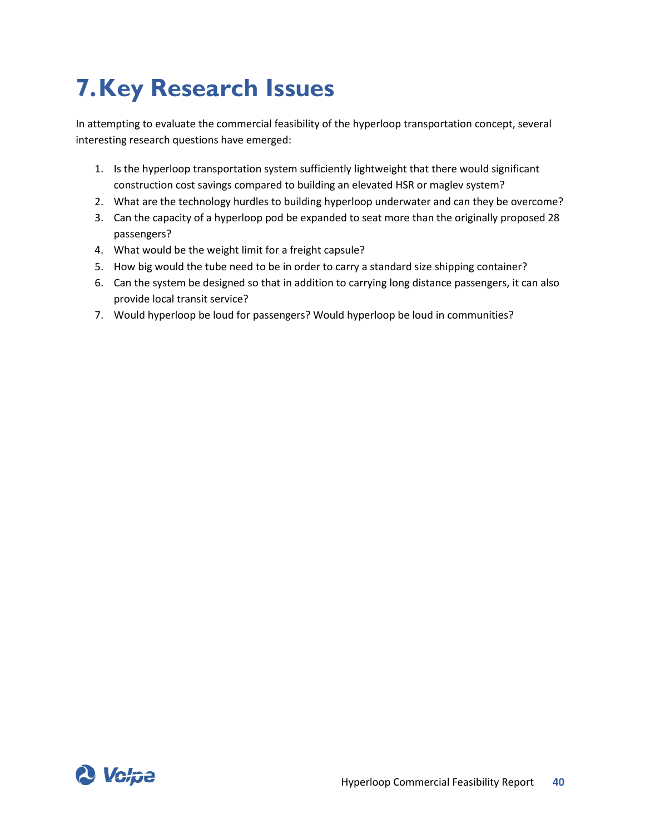# <span id="page-45-0"></span>**7.Key Research Issues**

In attempting to evaluate the commercial feasibility of the hyperloop transportation concept, several interesting research questions have emerged:

- 1. Is the hyperloop transportation system sufficiently lightweight that there would significant construction cost savings compared to building an elevated HSR or maglev system?
- 2. What are the technology hurdles to building hyperloop underwater and can they be overcome?
- 3. Can the capacity of a hyperloop pod be expanded to seat more than the originally proposed 28 passengers?
- 4. What would be the weight limit for a freight capsule?
- 5. How big would the tube need to be in order to carry a standard size shipping container?
- 6. Can the system be designed so that in addition to carrying long distance passengers, it can also provide local transit service?
- 7. Would hyperloop be loud for passengers? Would hyperloop be loud in communities?